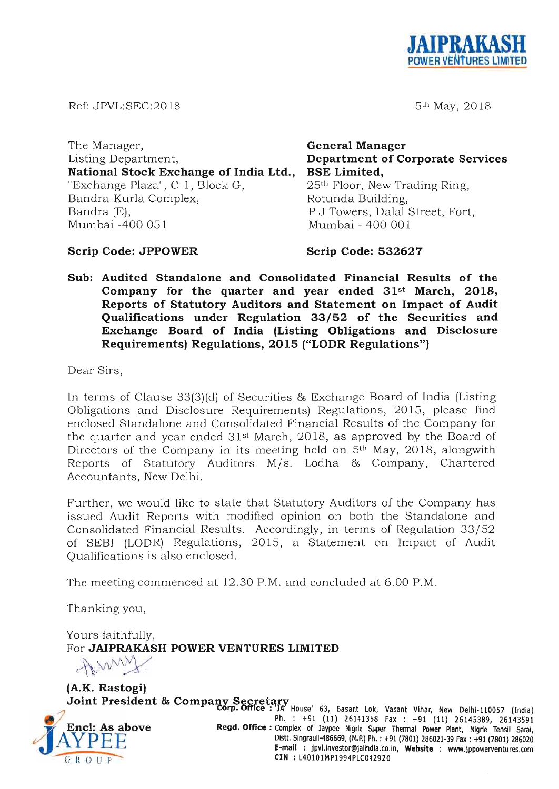

5th May, 2018

Ref: JPVL:SEC:2018

The Manager, Listing Department, **National Stock Exchange of India Ltd.,**  "Exchange Plaza", C- 1, Block G, Bandra-Kurla Complex, Bandra (E), Mumbai -400 051 **General Manager Department of Corporate Services BSE Limited,**  25<sup>th</sup> Floor, New Trading Ring, Rotunda Building, P J Towers, Dalal Street, Fort, Mumbai - 400 001

**Scrip Code: JPPOWER** 

**Scrip Code: 532627** 

**Sub: Audited Standalone and Consolidated Financial Results of the Company for the quarter and year ended 31st March, 2018, Reports of Statutory Auditors and Statement on Impact of Audit Qualifications under Regulation 33/52 of the Securities and Exchange Board of India (Listing Obligations and Disclosure Requirements) Regulations, 2015 ("LODR Regulations")** 

Dear Sirs,

In terms of Clause 33(3)(d) of Securities & Exchange Board of India (Listing Obligations and Disclosure Requirements) Regulations, 2015, please find enclosed Standalone and Consolidated Financial Results of the Company for the quarter and year ended  $31<sup>st</sup>$  March, 2018, as approved by the Board of Directors of the Company in its meeting held on 5<sup>th</sup> May, 2018, alongwith Reports of Statutory Auditors M/s. Lodha & Company, Chartered Accountants, New Delhi.

Further, we would like to state that Statutory Auditors of the Company has issued Audit Reports with modified opinion on both the Standalone and Consolidated Financial Results. Accordingly, in terms of Regulation 33/52 of SEBI (LODR) Regulations, 2015, a Statement on Impact of Audit Qualifications is also enclosed .

The meeting commenced at 12.30 P.M. and concluded at 6.00 P.M.

Thanking you,

Yours faithfully, For **JAIPRAKASH POWER VENTURES LIMITED**  purs faithfully,<br>pr **JAIPRAKASH POWER V**<br>**RAMWAY** 

**(A.K.** 



Joint President & Company Secretary<br> **Corp. Office :** JA House' 63, Basant Lok, Vasant Vihar, New Delhi-110057 (India)<br>
Ph. : +91 (11) 26141358 Fax : +91 (11) 26145389, 26143591<br> **CORPER REGION REGION CORPER COMPANY PH.** Regd. Office: Complex of Jaypee Nigrie Super Thermal Power Plant, Nigrie Tehsil Sarai,<br>Distt. Singrauli-486669, (M.P.) Ph. : +91 (7801) 286021-39 Fax : +91 (7801) 286020<br>E-mail : jpvl.investor@jalindia.co.in, Website : www E-mail: pvl.lnvestor@jallndla.co.ln, Website : www.jppowerventures.com<br>
--G R O U P<br>
CIN : L40101MP1994PLC042920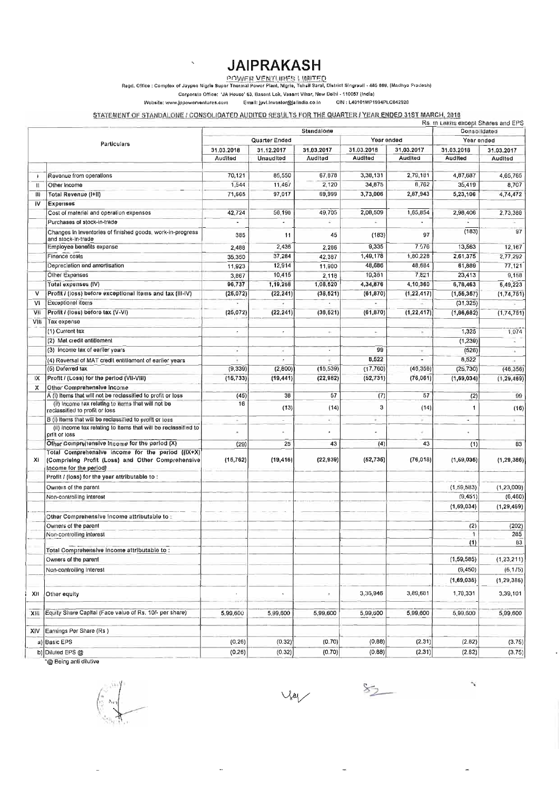# **JAIPRAKASH**

<u>רוך (DINTER VENTURES LIMITER) IQI IN ITED Adam complos : Complox of Jaypoo Nigrio Pradosh) </u><br>Regd. Office : Complox of Jaypee Nigrio Super Thermal Power Plant, Nigrie, Tehsil Saral, District Singraull - 486

Corporate Office: 'JA House' 63, Basant Lok, Vasant Villar, New Dolhi - 110057 (India)

 $\overline{\phantom{a}}$ 

**Wobsito: WWW.JI>poworvonlurcs.com Email: Jpvl,lnvQslor@jalindla\_co.ln CIN : L40101MP1994PLC042920** 

#### STATEMENT OF STANDALONE / CONSOLIDATED AUDITED RESULTS FOR THE QUARTER / YEAR ENDED 31ST MARCH, 2018

|              |                                                                                                                                  |                             |                          | Standalone               |            |                          | Rs. In Lakits except Shares and EPS<br>Consolidated |                       |
|--------------|----------------------------------------------------------------------------------------------------------------------------------|-----------------------------|--------------------------|--------------------------|------------|--------------------------|-----------------------------------------------------|-----------------------|
|              |                                                                                                                                  | Year ended<br>Quarter Ended |                          |                          |            |                          |                                                     |                       |
|              | Particulars                                                                                                                      | 31.03.2018<br>31.12.2017    |                          | 31.03.2017               | 31.03.2018 | 31,03.2017               | Year ended<br>31.03.2018                            |                       |
|              |                                                                                                                                  | Audited                     | Unaudited                | Audited                  | Audited    | Audited                  | Audited                                             | 31.03.2017<br>Audited |
|              |                                                                                                                                  |                             |                          |                          |            |                          |                                                     |                       |
|              | Revenue from operations                                                                                                          | 70,121                      | 85,550                   | 67,878                   | 3,38,131   | 2,79,181                 | 4,87,687                                            | 4,65,765              |
| $\mathbf{I}$ | Other Income                                                                                                                     | 1,544                       | 11,467                   | 2,120                    | 34,875     | 8,762                    | 35,419                                              | 8,707                 |
| 1            | Total Revenue (I+II)                                                                                                             | 71,665                      | 97,017                   | 69,999                   | 3,73,006   | 2,87,943                 | 5,23,106                                            | 4,74,472              |
| IV           | Expenses                                                                                                                         |                             |                          |                          |            |                          |                                                     |                       |
|              | Cost of material and operation expenses                                                                                          | 42,724                      | 56,198                   | 49,705                   | 2,08,509   | 1,65,854                 | 2,98,406                                            | 2.73,380              |
|              | Purchases of stock-in-trade                                                                                                      | ٠                           |                          |                          |            |                          |                                                     |                       |
|              | Changes in Inventories of finished goods, work-in-progress<br>and stock-In-trade                                                 | 385                         | 11                       | 45                       | (183)      | 97                       | (183)                                               | 97                    |
|              | Employee benefits expense                                                                                                        | 2,488                       | 2,436                    | 2,286                    | 9,335      | 7.576                    | 13,563                                              | 12,167                |
|              | Finance costs                                                                                                                    | 35,350                      | 37,284                   | 42,387                   | 1,49,178   | 1,80,228                 | 2,61,375                                            | 2,77,292              |
|              | Depreciation and amortisation                                                                                                    | 11,923                      | 12,914                   | 11,980                   | 48,686     | 48,684                   | 61,889                                              | 77,121                |
|              | Other Expenses                                                                                                                   | 3,867                       | 10,415                   | 2,118                    | 19,351     | 7,821                    | 23,413                                              | 9,158                 |
|              | Total expenses (IV)                                                                                                              | 96,737                      | 1,19,258                 | 1,08,620                 | 4,34,876   | 4,10,360                 | 6,78,463                                            | 6,49,223              |
| v            | Profit / (loss) before exceptional items and tax (III-IV)                                                                        | (26.072)                    | (22, 241)                | (38, 621)                | (61, 870)  | (1, 22, 417)             | (1, 56, 367)                                        | (1, 74, 751)          |
| VI           | Exceptional items                                                                                                                |                             |                          |                          |            |                          | (31.325)                                            |                       |
|              |                                                                                                                                  |                             |                          |                          |            |                          |                                                     |                       |
| ٧II          | Profit / (loss) before tax (V-VI)                                                                                                | (26.072)                    | (22, 241)                | (38, 621)                | (61, 870)  | (1, 22, 417)             | (1, 86, 682)                                        | (1,74,761)            |
| VIII         | Tax expense                                                                                                                      |                             |                          |                          |            |                          |                                                     |                       |
|              | (1) Current tax                                                                                                                  | ×                           | $\sim$                   | $\pm$                    | $\sim$     | $\sim$                   | 1,325                                               | 1,074                 |
|              | (2) Mat credit entitlement                                                                                                       |                             |                          |                          |            |                          | (1, 239)                                            |                       |
|              | (3) Income tax of earlier years                                                                                                  | $\overline{\phantom{a}}$    | ×                        | $\overline{\phantom{a}}$ | 99         | $\overline{\phantom{a}}$ | (526)                                               |                       |
|              | (4) Reversal of MAT credit entitlement of earlier years                                                                          |                             | $\bullet$                |                          | 8,522      | ä,                       | 8,522                                               |                       |
|              | (6) Deferred tax                                                                                                                 | (9, 339)                    | (2,800)                  | (15, 539)                | (17,760)   | (46, 356)                | (25, 730)                                           | (46, 356)             |
| IX           | Profit / (Loss) for the period (VII-VIII)                                                                                        | (16, 733)                   | (19, 441)                | (22, 982)                | (52, 731)  | (76, 061)                | (1, 69, 034)                                        | (1, 29, 469)          |
| х            | Other Comprehensive Income                                                                                                       |                             |                          |                          |            |                          |                                                     |                       |
|              | A (i) Items that will not be reclassified to profit or loss                                                                      | (45)                        | 38                       | 57                       | (7)        | 57                       | (2)                                                 | 99                    |
|              | (ii) income fax relating to items that will not be<br>reclassified to profit or loss                                             | 16                          | (13)                     | (14)                     | 3          | (14)                     | 1                                                   | (16)                  |
|              | B (i) Items that will be reclassified to profit or loss                                                                          |                             | $\overline{\phantom{a}}$ | ×                        | ĸ.         | ×.                       | ÷                                                   | $\lambda$             |
|              | (ii) income tax relating to items that will be reclassified to<br>prilt or loss                                                  |                             |                          |                          |            |                          |                                                     |                       |
|              | Other Comprehensive Income for the period (X)                                                                                    | (29)                        | 25                       | 43                       | (4)        | 43                       | (1)                                                 | 83                    |
| xı           | Total Comprehensive income for the period ((IX+X)<br>(Comprising Profit (Loss) and Other Comprehensive<br>Income for the period) | (16, 762)                   | (19, 416)                | (22, 939)                | (52, 736)  | (76, 018)                | (1,69,036)                                          | (1, 29, 386)          |
|              | Profit / (loss) for the year attributable to :                                                                                   |                             |                          |                          |            |                          |                                                     |                       |
|              | Owners of the parent                                                                                                             |                             |                          |                          |            |                          | (1,59,583)                                          | (1, 23, 009)          |
|              | Non-controlling interest                                                                                                         |                             |                          |                          |            |                          | (9, 451)                                            | (6, 460)              |
|              |                                                                                                                                  |                             |                          |                          |            |                          |                                                     |                       |
|              |                                                                                                                                  |                             |                          |                          |            |                          | (1,69,034)                                          | (1, 29, 469)          |
|              | Other Comprehensive income attributable to :                                                                                     |                             |                          |                          |            |                          |                                                     |                       |
|              | Owners of the parent                                                                                                             |                             |                          |                          |            |                          | (2)                                                 | (202)                 |
|              | Non-controlling interest                                                                                                         |                             |                          |                          |            |                          | $\mathbf{1}$                                        | 285                   |
|              | Total Comprehensive income attributable to:                                                                                      |                             |                          |                          |            |                          | (1)                                                 | 83                    |
|              | Owners of the parent                                                                                                             |                             |                          |                          |            |                          | (1, 59, 585)                                        | (1, 23, 211)          |
|              |                                                                                                                                  |                             |                          |                          |            |                          |                                                     |                       |
|              | Non-controlling Interest                                                                                                         |                             |                          |                          |            |                          | (9, 450)                                            | (6, 175)              |
|              |                                                                                                                                  |                             |                          |                          |            |                          | (1, 69, 035)                                        | (1, 29, 386)          |
| XII          | Other equity                                                                                                                     |                             |                          |                          | 3,36,946   | 3,89,681                 | 1,70,331                                            | 3,39,101              |
| XIII         | Equity Share Capital (Face value of Rs, 10/- per share)                                                                          | 5,99,600                    | 5,99,600                 | 5,99,600                 | 5,99,600   | 5,99,600                 | 5,99,600                                            | 5,99,600              |
| XIV          | Earnings Per Share (Rs)                                                                                                          |                             |                          |                          |            |                          |                                                     |                       |
|              | a) Basic EPS                                                                                                                     | (0.26)                      | (0.32)                   | (0.70)                   | (0.88)     | (2.31)                   | (2.82)                                              | (3.75)                |
|              |                                                                                                                                  |                             |                          |                          |            | (2.31)                   |                                                     |                       |
|              | b) Diluted EPS @                                                                                                                 | (0.26)                      | (0.32)                   | (0.70)                   | (0.88)     |                          | (2.82)                                              | (3.75)                |

"@ Being anti dilutive

 $\vee$  a

 $\mathcal{S}_{2}$ 

 $\gamma$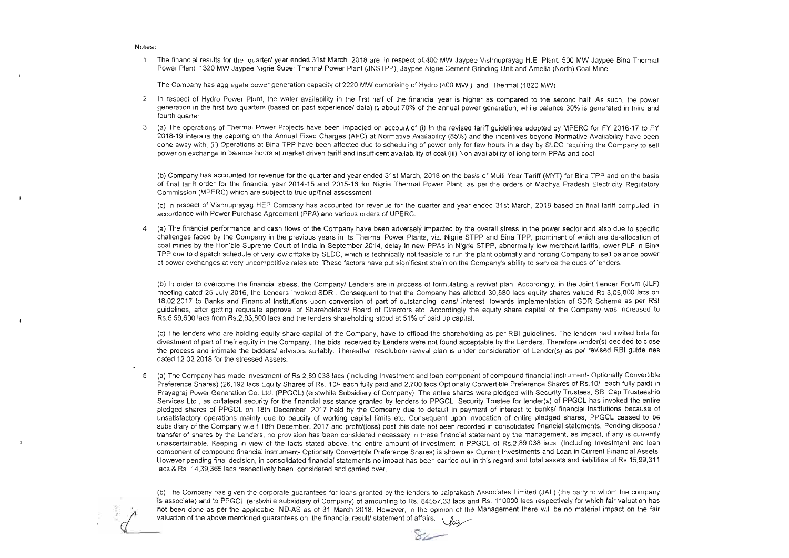#### Notes:

1 The financial results for the quarter! year ended 31st March, 2018 are in respect of 400 MW Jaypee Vishnuprayag H.E Plant, 500 MW Jaypee Bina Thermal Power Plant 1320 MW Jaypee Nigrie Super Thermal Power Plant (JNSTPP), Jaypee Nigrie Cement Grinding Unit and Amelia (North) Coal Mine.

The Company has aggregate power generation capacity of 2220 MW comprising of Hydro (400 MW) and Thermal (1820 MW)

- 2 In respect of Hydro Power Plant, the water availability in the first half of the financial year is higher as compared to the second half As such, the power generation in the first two quarters (based on past experience/ data) is about 70% of the annual power generation, while balance 30% is generated in third and fourth quarter
- 3 (a) The operations of Thermal Power Projects have been impacted on account of (i) In the revised tariff guidelines adopted by MPERC for FY 2016-17 to FY 2018-19 interalia the capping on the Annual Fixed Charges (AFC) at Normative Availability (85%) and the incentives beyond Normative Availability have been done away with, (ii) Operations at Bina TPP have been affected due to scheduling of power only for few hours in a day by SLDC requiring the Company to sell power on exchange in balance hours at market driven tariff and insufficent availability of coal,(iii) Non availability of long term PPAs and coal

(b) Company has accounted for revenue for the quarter and year ended 31st March, 2018 on the basis of Multi Year Tariff (MYT) for Bina TPP and on the basis of final tariff order for the financial year 2014-15 and 2015-16 for Nigrie Thermal Power Plant as per the orders of Madhya Pradesh Electricity Regulatory Commission (MPERC) which are subject to true uplfinal assessment.

(c) In respect of Vishnuprayag HEP Company has accounted for revenue for the quarter and year ended 31 st March, 2018 based on final tariff computed in accordance with Power Purchase Agreement (PPA) and various orders of UPERC.

4 (a) The financial performance and cash flows of the Company have been adversely impacted by the overall stress in the power sector and also due to specific challenges faced by the Company in the previous years in its Thenmal Power Plants, viz. Nigrie STPP and Bina TPP, prominent of which are de-allocation of coal mines by the Hon'ble Supreme Court of India in September 2014, delay in new PPAs in Nigrie STPP, abnormally low merchant tariffs, lower PLF in Bina TPP due to dispatch schedule of very low offtake by SLDC, which is technically not feasible to run the plant optimally and forcing Company to sell balance power at power exchanges at very uncompetitive rates etc. These factors have put significant strain on the Company's ability to service the dues of lenders.

(b) In order to overcome the financial stress, the Company! Lenders are in process of formulating a revival plan Accordingly, in the Joint Lender Forum (JLF) meeting dated 25 July 2016, the Lenders invoked SDR . Consequent to that the Company has allotted 30,580 lacs equity shares valued Rs 3,05,800 lacs on 18.02.2017 to Banks and Financial Institutions upon conversion of part of outstanding loans! interest towards implementation of SDR Scheme as per RBI guidelines, after getting requisite approval of Shareholders/ Board of Directors etc. Accordingly the equity share capital of the Company was increased to Rs.5,99,600 lacs from Rs.2,93,800 lacs and the lenders shareholding stood at 51% of paid up capital.

(c) The lenders who are holding equity share capital of the Company, have to offload the shareholding as per RBI guidelines. The lenders had invited bids for divestment of part of their equity in the Company. The bids received by Lenders were not found acceptable by the Lenders. Therefore lender(s) decided to close the process and intimate the bidders! advisors suitably. Thereafter, resolution/ revival plan is under consideration of Lender(s) as per revised RBI guidelines dated 12 02 2018 for the stressed Assets.

5 (a) The Company has made investment of Rs 2,89,038 lacs (Including Investment and loan component of compound financial instrument- Optionally Convertible Preference Shares) (26,192 lacs Equity Shares of Rs. 10/- each fully paid and 2,700 lacs Optionally Convertible Preference Shares of Rs.10/- each fully paid) in Prayagraj Power Generation Co. Ltd. (PPGCL) (erstwhile Subsidiary of Company) The entire shares were pledged with Security Trustees, SBI Cap Trusteeship Services Ltd., as collateral security for the financial assistance granted by lenders to PPGCL. Security Trustee for lender(s) of PPGCL has invoked the entire pledged shares 01 PPGCL on 18th December, 2017 held by the Company due to default in payment of interest to banks! financial institutions because of unsatisfactory operations mainly due to paucity of working capital limits etc. Consequent upon !nvocation of entire pledged shares, PPGCL ceased to be subsidiary of the Company w.e f 18th December, 2017 and profit/(loss) post this date not been recorded in consolidated financial statements. Pending disposal/ transfer of shares by the Lenders, no provision has been considered necessary in these financial statement by the management, as impact, il any is currently unascertainable. Keeping in view of the facts stated above, the entire amount of investment in PPGCL of Rs.2,89,038 lacs (Including Investment and Ioan component of compound financial instrument- Optionally Convertible Preference Shares) is shown as Current Investments and Loan in Current Financial Assets. However pending final decision, in consolidated financial statements no impact has been carried out in this regard and total assets and liabilities of RS.15,99,311 lacs & Rs. 14,39,365 lacs respectively been considered and carried over.

(b) The Company has given the corporate guarantees for loans granted by the lenders to Jaiprakash Associates Limited (JAL) (the party to whom the company is associate) and to PPGCL (erstwhile subsidiary of Company) of amounting to Rs. 84557.33 lacs and Rs. 110000 lacs respectively for which fair valuation has is associate) and to PPGCL (erstwhile subsidiary of Company) of amounting to Rs. 84557,33 lacs and Rs. 110000 lacs respectively for which fair valuation has<br>not been done as per the applicable IND-AS as of 31 March 2018.

~~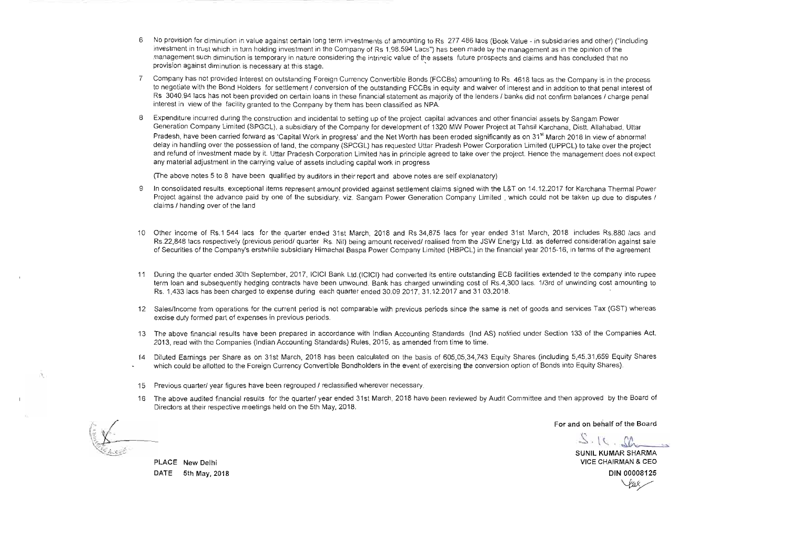- 6 No provision for diminution in value against certain long term investments of amountir,g to Rs 277 486 lacs (Book Value in subsidiaries arid other) ("Including investment in trust which in turn holding investment in the Company of Rs 1,98.594 Lacs") has been made by the management as in the opinion of the management such diminution is temporary in nature considering the intrinsic value of the assets future prospects and claims and has concluded that no provision against diminution is necessary at this stage.
- 7 Company has not provided Interest on outstanding Foreign Currency Convertible Bonds (FCCBs) amounting to Rs. 4618 lacs as the Company is in the process to negotiate with the Bond Holders for settlement / conversion of the outstanding FCCBs in equity and waiver of interest and in addition to that penal interest of Rs 3040.94 lacs has not been provided on certain loans in these financial statement as majority of the lenders / banks did not confirm balances / charge penal interest in view of the facility granted to the Company by them has been classified as NPA.
- 8 Expenditure incurred during the construction and incidental to setting up of the project, capital advances and other financial assets by Sangam Power Generation Company Limited (SPGCL), a subsidiary of the Company for development of 1320 MW Power Project at Tahsil Karchana, Distt, Allahabad, Uttar Pradesh, have been carried forward as 'Capital Work in progress' and the Net Worth has been eroded significantly as on 31<sup>st</sup> March 2018 In view of abnormal delay in handling over the possession of land. the company (SPCGL) has requested Uttar Pradesh Power Corporation Limited (UPPCL) to take over the project and refund of investment made by it Uttar Pradesh Corporation limited has in principle agreed to take over the project Hence the management does not expect any material adjustment in the carrying value of assets including capital work in progress

(The above notes 5 to 8 have been qualified by auditors in their report and above notes are self explanatory)

- 9 In consolidated results, exceptional items represent amount provided against settlement claims signed with the L&T on 14.12.2017 for Karchana Thermal Power Project against the advance paid by one of the subsidiary, viz. Sangam Power Generation Company Limited, which could not be taken up due to disputes / claims I handing over of the land.
- 10 Other income of Rs,1 544 lacs for the quarter ended 31st March, 2018 and Rs 34,875 lacs for year ended 31st March, 2018 includes RS.880 lacs and Rs.22,848 lacs respectively (previous period/ quarter Rs. Nil) being amount received/ realised from the JSW Energy Ltd. as deferred consideration against sale of Securities of the Company's erstwhile subsidiary Himachal Baspa Power Company limited (HBPCL) in the financial year 2015-16, in terms of the agreement
- 11 During the quarter ended 30th September, 2017, ICICI Bank Ltd.(ICICI) had converted its entire outstanding ECB facilities extended to the company into rupee term loan and subsequently hedging contracts have been unwound. Bank has charged unwinding cost of RsA,300 lacs. 1!3rd of unwinding cost amounting to Rs. 1,433 lacs has been charged to expense during each quarter ended 30.09 2017, 31.12.2017 and 3103,2018
- 12 Salesllncome from operations for the current period is not comparable with previous periods since the same is net of goods and services Tax (GST) whereas excise duty formed part of expenses in previous periods,
- 13 The above financial results have been prepared in accordance with Indian Accounting Standards (Ind AS) notified under Section 133 of the Companies Act. 2013, read with the Companies (Indian Accounting Standards) Rules, 2015, as amended from time to time.
- 14 Diluted Earnings per Share as on 31st March, 2018 has been calculated on the basis of 605,05,34,743 Equity Shares (including 5,45,31,659 Equity Shares which could be allotted to the Foreign Currency Convertible Bondholders in the event of exercising the conversion option of Bonds into Equity Shares).
- 15 Previous quarter/ year figures have been regrouped / reclassified wherever necessary.
- 16 The above audited financial results for the quarter! year ended 31st March, 2018 have been reviewed by Audit Committee and then approved by the Board of Directors at their respective meetings held on the 5th May, 2018.

PLACE New Delhi **DATE** 5th May, 2018

For and on behalf of the Board

 $2 - 10$  .  $72$ SUNIL KUMAR SHARMA

VICE CHAIRMAN & CEO DIN 00008125 Year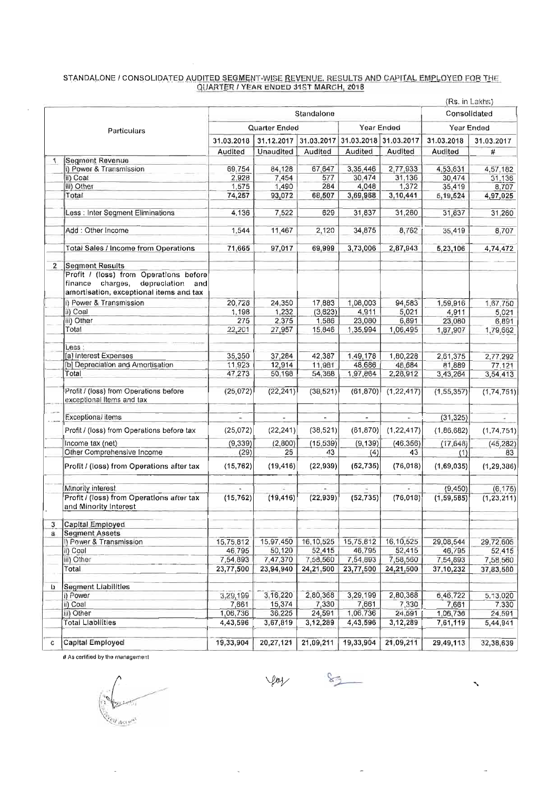#### STANDALONE / CONSOLIDATED AUDITED SEGMENT-WISE REVENUE. RESULTS AND CAPITAL EMPLOYED FOR THE QUARTER I YEAR ENDED 315T MARCH. 2018

|              |                                                                                                                              |                          |                          |                 |                       |                          | (Rs. in Lakhs) |              |
|--------------|------------------------------------------------------------------------------------------------------------------------------|--------------------------|--------------------------|-----------------|-----------------------|--------------------------|----------------|--------------|
|              |                                                                                                                              | Standalone               |                          |                 |                       | Consolidated             |                |              |
|              | Particulars                                                                                                                  | Quarter Ended            |                          |                 |                       | Year Ended               |                | Year Ended   |
|              |                                                                                                                              | 31.12.2017<br>31,03,2018 |                          | 31.03.2017      | 31.03.2018 31.03.2017 |                          | 31.03.2018     | 31.03.2017   |
|              |                                                                                                                              | Audited                  | Unaudited                | Audited         | Audited               | Audited                  | Audited        | $\pmb{\#}$   |
|              | <b>Segment Revenue</b>                                                                                                       |                          |                          |                 |                       |                          |                |              |
|              | i) Power & Transmission                                                                                                      | 69.754                   | 84,128                   | 67,647          | 3,35,446              | 2,77,933                 | 4,53,631       | 4,57,182     |
|              | il) Coal                                                                                                                     | 2,928                    | 7,454                    | 577             | 30,474                | 31.136                   | 30,474         | 31,136       |
|              | iii) Other                                                                                                                   | 1,575                    | 1,490                    | 284             | 4,048                 | 1,372                    | 35,419         | 8,707        |
|              | Total                                                                                                                        | 74,257                   | 93,072                   | 68,507          | 3,69,968              | 3,10,441                 | 5,19,524       | 4,97,025     |
|              | Less : Inter Segment Eliminations                                                                                            | 4.136                    | 7,522                    | 629             | 31,837                | 31,260                   | 31,837         | 31,260       |
|              | Add: Other Income                                                                                                            | 1.544                    | 11,467                   | 2,120           | 34,875                | 8,762                    | 35,419         | 8,707        |
|              | <b>Total Sales / Income from Operations</b>                                                                                  | 71.665                   | 97,017                   | 69,999          | 3,73,006              | 2,87,943                 | 5,23,106       | 4,74,472     |
| $\mathbf{2}$ | <b>Segment Results</b>                                                                                                       |                          |                          |                 |                       |                          |                |              |
|              | Profit / (loss) from Operations before<br>finance charges,<br>depreciation<br>and<br>amortisation, exceptional items and tax |                          |                          |                 |                       |                          |                |              |
|              | i) Power & Transmission                                                                                                      | 20,728                   | 24,350                   | 17,883          | 1,08,003              | 94,583                   |                |              |
|              | ii) Coal                                                                                                                     |                          |                          |                 |                       |                          | 1,59,916       | 1,67,750     |
|              |                                                                                                                              | 1,198                    | 1,232                    | (3,623)         | 4,911                 | 5,021                    | 4,911          | 5,021        |
|              | iii) Other                                                                                                                   | 275                      | 2,375                    | 1,586           | 23,080                | 6,891                    | 23,080         | 6,891        |
|              | Total                                                                                                                        | 22,201                   | 27,957                   | 15,846          | 1,35,994              | 1,06,495                 | 1,87,907       | 1,79,662     |
|              | $-$ ess $\therefore$                                                                                                         |                          |                          |                 |                       |                          |                |              |
|              | [a] Interest Expenses                                                                                                        | 35,350                   | 37,284                   | 42,387          | 1,49,178              | 1,80,228                 | 2,61,375       | 2,77,292     |
|              | [b] Depreciation and Amortisation                                                                                            | 11.923                   | 12,914                   | 11,981          | 48.686                | 48,684                   | 81,889         | 77,121       |
|              | Total                                                                                                                        | 47,273                   | 50,198                   | 54,368          | 1,97,864              | 2,28,912                 | 3,43,264       | 3,54,413     |
|              | Profit / (loss) from Operations before<br>exceptional Items and tax                                                          | (25,072)                 | (22, 241)                | (38, 521)       | (61, 870)             | (1, 22, 417)             | (1, 55, 357)   | (1,74,751)   |
|              | Exceptional items                                                                                                            | $\sim$                   |                          | $\sim$          | ÷.                    | i.                       | (31, 325)      |              |
|              |                                                                                                                              |                          | $\overline{\phantom{a}}$ |                 |                       |                          |                | $\sim$       |
|              | Profit / (loss) from Operations before tax                                                                                   | (25,072)                 | (22, 241)                | (38, 521)       | (61, 870)             | (1, 22, 417)             | (1,86,682)     | (1,74,751)   |
|              | Income tax (net)<br>Other Comprehensive Income                                                                               | (9, 339)<br>(29)         | (2,800)<br>25            | (15, 539)<br>43 | (9, 139)              | (46, 356)                | (17.648)       | (45, 282)    |
|              |                                                                                                                              |                          |                          |                 | (4)                   | 43                       | (1)            | 83           |
|              | Profit / (loss) from Operations after tax                                                                                    | (15, 762)                | (19, 416)                | (22, 939)       | (62, 735)             | (76,018)                 | (1,69,035)     | (1, 29, 386) |
|              | Minority interest                                                                                                            |                          | G.                       | $\equiv$        |                       | $\overline{\phantom{a}}$ | (9, 450)       | (6, 175)     |
|              | Profit / (loss) from Operations after tax                                                                                    | (15, 762)                | (19, 416)                | (22, 939)       | (52, 735)             | (76, 018)                | (1, 59, 585)   | (1, 23, 211) |
|              | and Minority Interest                                                                                                        |                          |                          |                 |                       |                          |                |              |
| 3            | Capital Employed                                                                                                             |                          |                          |                 |                       |                          |                |              |
| $\mathbf{a}$ | <b>Segment Assets</b>                                                                                                        |                          |                          |                 |                       |                          |                |              |
|              | I) Power & Transmission                                                                                                      | 15,75,812                | 15,97,450                | 16,10,525       | 15,75,812             | 16,10,525                | 29,08,544      | 29,72,605    |
|              | ii) Coal                                                                                                                     | 46,795                   | 50,120                   | 52,415          | 46,795                | 52,415                   | 46,795         | 52,415       |
|              | iii) Other                                                                                                                   | 7,54,893                 | 7,47,370                 | 7,58,560        | 7,54,893              | 7,58,560                 | 7,54,893       | 7,58,560     |
|              | Total                                                                                                                        | 23,77,500                | 23,94,940                | 24,21,500       | 23,77,500             | 24,21,500                | 37,10,232      | 37,83,580    |
|              |                                                                                                                              |                          |                          |                 |                       |                          |                |              |
| Þ            | <b>Segment Liabilities</b>                                                                                                   |                          |                          |                 |                       |                          |                |              |
|              | i) Power                                                                                                                     | 3,29,199                 | 3.16,220                 | 2.80.368        | 3,29,199              | 2,80,368                 | 6,46,722       | 5,13,020     |
|              | ii) Coal                                                                                                                     | 7,661                    | 15,374                   | 7,330           | 7,661                 | 7,330                    | 7,661          | 7.330        |
|              | iii) Other                                                                                                                   | 1,06,736                 | 36.225                   | 24,591          | 1,06.736              | 24,591                   | 1,06,736       | 24,591       |
|              | <b>Total Liabilities</b>                                                                                                     | 4,43,596                 | 3,67,819                 | 3,12,289        | 4,43,596              | 3,12,289                 | 7,61,119       | 5,44,941     |
| C            | Capital Employed                                                                                                             | 19,33,904                | 20,27,121                | 21,09,211       | 19,33,904             | 21,09,211                | 29,49,113      | 32,38,639    |

# As certified by the management

 $\bar{a}$ 

 $\overline{2}$ **CON ACTIVAL** 

 $\mathscr{L}$  $V_{\text{ref}}$ 

 $\hat{\mathcal{A}}$ 

 $\bar{\phantom{a}}$ 

 $\bar{\mathbf{v}}$ 

 $\overline{a}$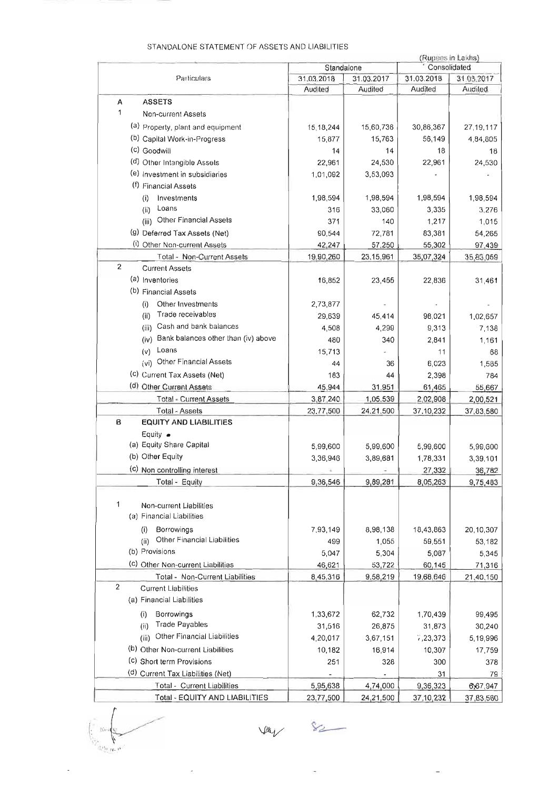|                |                                             |            |            | (Rupees in Lakhs)   |             |
|----------------|---------------------------------------------|------------|------------|---------------------|-------------|
|                |                                             | Standalone |            | Consolidated        |             |
|                | Particulars                                 | 31.03.2018 | 31.03.2017 | 31.03.2018          | 31.03.2017  |
|                |                                             | Audited    | Audited    | Audited             | Audited     |
| A              | <b>ASSETS</b>                               |            |            |                     |             |
| 1              | Non-current Assets                          |            |            |                     |             |
|                | (a) Property, plant and equipment           | 15,18,244  | 15,60,736  | 30,86,367           | 27, 19, 117 |
|                | (b) Capital Work-in-Progress                | 15,877     | 15,763     | 56,149              | 4,84,805    |
|                | (c) Goodwill                                | 14         | 14         | 18                  | 18          |
|                | (d) Other Intangible Assets                 | 22,961     | 24,530     | 22,961              | 24,530      |
|                | (e) Investment in subsidiaries              | 1,01,092   | 3,53,093   |                     |             |
|                | (f) Financial Assets                        |            |            |                     |             |
|                | Investments<br>(i)                          | 1,98,594   | 1,98,594   | 1,98,594            | 1,98,594    |
|                | Loans<br>(ii)                               | 316        | 33,060     | 3,335               | 3,276       |
|                | (iii) Other Financial Assets                | 371        | 140        | 1,217               | 1,015       |
|                |                                             |            |            |                     |             |
|                | (9) Deferred Tax Assets (Net)               | 90,544     | 72,781     | 83,381              | 54,265      |
|                | (i) Other Non-current Assets                | 42,247     | 57,250     | 55,302              | 97,439      |
| 2              | Total - Non-Current Assets                  | 19,90,260  | 23.15,961  | 35,07,324           | 35,83,059   |
|                | <b>Current Assets</b>                       |            |            |                     |             |
|                | (a) Inventories                             | 16,852     | 23,455     | 22,836              | 31,461      |
|                | (b) Financial Assets                        |            |            |                     |             |
|                | Other Investments<br>(i)                    | 2,73,877   |            |                     |             |
|                | Trade receivables<br>(ii)                   | 29,639     | 45,414     | 98,021              | 1,02,657    |
|                | (iii) Cash and bank balances                | 4,508      | 4,299      | 9,313               | 7,138       |
|                | Bank balances other than (iv) above<br>(iv) | 480        | 340        | 2,841               | 1,161       |
|                | Loans<br>(v)                                | 15,713     |            | 11                  | 68          |
|                | (vi) Other Financial Assets                 | 44         | 36         | 6,023               | 1,585       |
|                | (c) Current Tax Assets (Net)                | 183        | 44         | 2,398               | 784         |
|                | (d) Other Current Assets                    | 45,944     | 31,951     | 61,465              | 55,667      |
|                | <b>Total - Current Assets</b>               | 3,87,240   | 1,05,539   | 2,02,908            | 2,00,521    |
|                | Total - Assets                              | 23,77,500  | 24.21.500  | 37, 10, 232         | 37,83,580   |
| в              | <b>EQUITY AND LIABILITIES</b>               |            |            |                     |             |
|                | Equity $\bullet$                            |            |            |                     |             |
|                | (a) Equity Share Capital                    | 5,99,600   | 5,99,600   | 5,99,600            | 5,99,600    |
|                | (b) Other Equity                            | 3,36,946   | 3,89,681   | 1.78,331            | 3,39,101    |
|                | (c) Non controlling interest                |            |            | 27,332              | 36,782      |
|                | Total - Equity                              | 9,36,546   | 9,89,281   | 8,05,263            | 9,75,483    |
|                |                                             |            |            |                     |             |
| 1              | Non-current Liabilities                     |            |            |                     |             |
|                | (a) Financial Liabilities                   |            |            |                     |             |
|                | Borrowings<br>(i)                           | 7,93,149   | 8,98,138   | 18,43,863           | 20,10,307   |
|                | Other Financial Liabilities<br>(i)          | 499        | 1,055      | 59,551              | 53,182      |
|                | (b) Provisions                              | 5.047      | 5,304      | 5,087               | 5,345       |
|                | (c) Other Non-current Liabilities           |            | 53,722     |                     |             |
|                | Total - Non-Current Liabilities             | 46,621     |            | 60,145<br>19,68,646 | 71,316      |
| $\overline{c}$ | <b>Current Liabilities</b>                  | 8,45,316   | 9,58,219   |                     | 21,40,150   |
|                |                                             |            |            |                     |             |
|                | (a) Financial Liabilities                   |            |            |                     |             |
|                | Borrowings<br>(i)                           | 1,33,672   | 62,732     | 1,70,439            | 99,495      |
|                | Trade Payables<br>(ii)                      | 31,516     | 26,875     | 31,873              | 30,240      |
|                | Other Financial Liabilities<br>(iii)        | 4,20,017   | 3,67,151   | 7,23,373            | 5,19,996    |
|                | (b) Other Non-current Liabilities           | 10,182     | 16,914     | 10,307              | 17,759      |
|                | (c) Short term Provisions                   | 251        | 328        | 300                 | 378         |
|                | (d) Current Tax Liabilities (Net)           |            |            | 31                  | 79          |
|                | Total - Current Liabilities                 | 5,95,638   | 4,74,000   | 9,36,323            | 6,67,947    |
|                | Total - EQUITY AND LIABILITIES              | 23,77,500  | 24,21,500  | 37, 10, 232         | 37,83,580   |

#### STANDALONE STATEMENT OF ASSETS AND LIABILITIES

 $\mathcal{P}^{\text{reg}}_{\text{G}}$  ,  $\mathcal{P}^{\text{reg}}$ 

 $82 \mathcal{V}$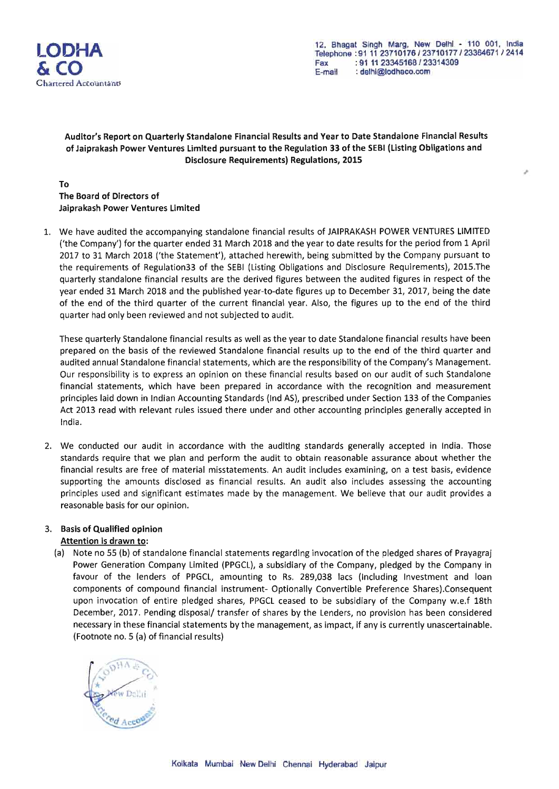

,

### Auditor's Report on Quarterly Standalone Financial Results and Year to Date Standalone Financial Results of Jaiprakash Power Ventures limited pursuant to the Regulation 33 of the SEBI (listing Obligations and Disclosure Requirements) Regulations, 2015

To The Board of Directors of Jaiprakash Power Ventures limited

1. We have audited the accompanying standalone financial results of JAIPRAKASH POWER VENTURES LIMITED ('the Company') for the quarter ended 31 March 2018 and the year to date results for the period from 1 April 2017 to 31 March 2018 ('the Statement'), attached herewith, being submitted by the Company pursuant to the requirements of Regulation33 of the SEBI (listing Obligations and Disclosure Requirements), 2015.The quarterly standalone financial results are the derived figures between the audited figures in respect of the year ended 31 March 2018 and the published year-to-date figures up to December 31, 2017, being the date of the end of the third quarter of the current financial year. Also, the figures up to the end of the third quarter had only been reviewed and not subjected to audit.

These quarterly Standalone financial results as well as the year to date Standalone financial results have been prepared on the basis of the reviewed Standalone financial results up to the end of the third quarter and audited annual Standalone financial statements, which are the responsibility of the Company's Management. Our responsibility is to express an opinion on these financial results based on our audit of such Standalone financial statements, which have been prepared in accordance with the recognition and measurement principles laid down in Indian Accounting Standards (Ind AS), prescribed under Section 133 of the Companies Act 2013 read with relevant rules issued there under and other accounting principles generally accepted in India.

2. We conducted our audit in accordance with the auditing standards generally accepted in India. Those standards require that we plan and perform the audit to obtain reasonable assurance about whether the financial results are free of material misstatements. An audit includes examining, on a test basis, evidence supporting the amounts disclosed as financial results. An audit also includes assessing the accounting principles used and significant estimates made by the management. We believe that our audit provides a reasonable basis for our opinion.

### 3, Basis of Qualified opinion

### Attention is drawn to:

(a) Note no 55 (b) of standalone financial statements regarding invocation of the pledged shares of Prayagraj Power Generation Company limited (PPGCL), a subsidiary of the Company, pledged by the Company in favour of the lenders of PPGCL, amounting to Rs. 289,038 lacs (Including Investment and loan components of compound financial instrument- Optionally Convertible Preference Shares).Consequent upon invocation of entire pledged shares, PPGCL ceased to be subsidiary of the Company w,e.f 18th December, 2017. Pending disposal/ transfer of shares by the Lenders, no provision has been considered necessary in these financial statements by the management, as impact, if any is currently unascertainable. (Footnote no. 5 (a) of financial results)

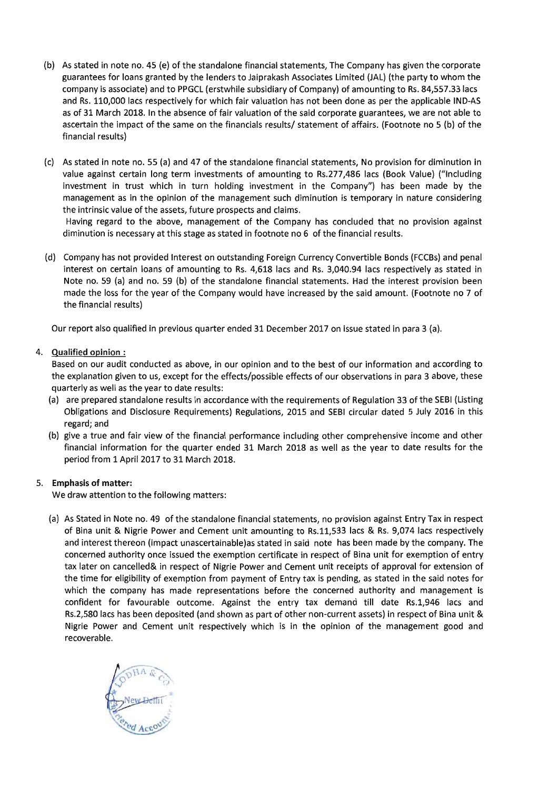- (b) As stated in note no. 45 (e) of the standalone financial statements, The Company has given the corporate guarantees for loans granted by the lenders to Jaiprakash Associates Limited (JAL) (the party to whom the company is associate) and to PPGCL (erstwhile subsidiary of Company) of amounting to Rs. 84,557.33 lacs and Rs. 110,000 lacs respectively for which fair valuation has not been done as per the applicable IND-AS as of 31 March 2018. In the absence of fair valuation of the said corporate guarantees, we are not able to ascertain the impact of the same on the financials results/ statement of affairs. (Footnote no 5 (b) of the financial results)
- (c) As stated in note no. 55 (a) and 47 of the standalone financial statements, No provision for diminution in value against certain long term investments of amounting to Rs.277,486 lacs (Book Value) ("Including investment in trust which in turn holding investment in the Company") has been made by the management as in the opinion of the management such diminution is temporary in nature considering the intrinsic value of the assets, future prospects and claims.

Having regard to the above, management of the Company has concluded that no provision against diminution is necessary at this stage as stated in footnote no 6 of the financial results.

(d) Company has not provided Interest on outstanding Foreign Currency Convertible Bonds (FCCBs) and penal interest on certain loans of amounting to Rs. 4,618 lacs and Rs. 3,040.94 lacs respectively as stated in Note no. 59 (a) and no. 59 (b) of the standalone financial statements. Had the interest provision been made the loss for the year of the Company would have increased by the said amount. (Footnote no 7 of the financial results)

Our report also qualified in previous quarter ended 31 December 2017 on issue stated in para 3 (a).

### 4. Qualified opinion:

Based on our audit conducted as above, in our opinion and to the best of our information and according to the explanation given to us, except for the effects/possible effects of our observations in para 3 above, these quarterly as well as the year to date results:

- (a) are prepared standalone results in accordance with the requirements of Regulation 33 of the SEBI (Listing Obligations and Disclosure Requirements) Regulations, 2015 and SEBI circular dated 5 July 2016 in this regard; and
- (b) give a true and fair view of the financial performance including other comprehensive income and other financial information for the quarter ended 31 March 2018 as well as the year to date results for the period from 1 April 2017 to 31 March 2018.

### 5. Emphasis of matter:

We draw attention to the following matters:

(a) As Stated in Note no. 49 of the standalone financial statements, no provision against Entry Tax in respect of Bina unit & Nigrie Power and Cement unit amounting to Rs.11,533 lacs & Rs. 9,074 lacs respectively and interest thereon (impact unascertainable)as stated in said note has been made by the company. The concerned authority once issued the exemption certificate in respect of Bina unit for exemption of entry tax later on cancelled& in respect of Nigrie Power and Cement unit receipts of approval for extension of the time for eligibility of exemption from payment of Entry tax is pending, as stated in the said notes for which the company has made representations before the concerned authority and management is confident for favourable outcome. Against the entry tax demand till date Rs.1,946 lacs and Rs.2,580 lacs has been deposited (and shown as part of other non-current assets) in respect of Bina unit & Nigrie Power and Cement unit respectively which is in the opinion of the management good and recoverable.

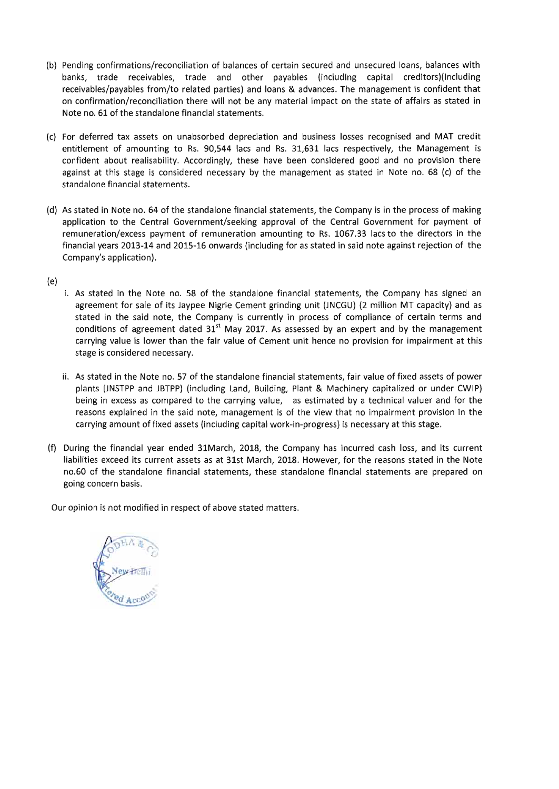- (b) Pending confirmations/reconciliation of balances of certain secured and unsecured loans, balances with banks, trade receivables, trade and other payables (including capital creditors)(lnciuding receivables/payables from/to related parties) and loans & advances. The management is confident that on confirmation/reconciliation there will not be any material impact on the state of affairs as stated in Note no. 61 of the standalone financial statements.
- (c) For deferred tax assets on unabsorbed depreciation and business losses recognised and MAT credit entitlement of amounting to Rs. 90,544 lacs and Rs. 31,631 lacs respectively, the Management is confident about realisability. Accordingly, these have been considered good and no provision there against at this stage is considered necessary by the management as stated in Note no. 68 (c) of the standalone financial statements.
- (d) As stated in Note no. 64 of the standalone financial statements, the Company is in the process of making application to the Central Government/seeking approval of the Central Government for payment of remuneration/excess payment of remuneration amounting to Rs. 1067.33 lacs to the directors in the financial years 2013-14 and 2015-16 onwards (including for as stated in said note against rejection of the Company's application).
- *(e)* 
	- i. As stated in the Note no. 58 of the standalone financial statements, the Company has signed an agreement for sale of its Jaypee Nigrie Cement grinding unit (JNCGU) (2 million MT capacity) and as stated in the said note, the Company is currently in process of compliance of certain terms and conditions of agreement dated  $31<sup>st</sup>$  May 2017. As assessed by an expert and by the management carrying value is lower than the fair value of Cement unit hence no provision for impairment at this stage is considered necessary.
	- ii. As stated in the Note no. 57 of the standalone financial statements, fair value of fixed assets of power plants (JNSTPP and JBTPP) (including land, Building, Plant & Machinery capitalized or under CWIP) being in excess as compared to the carrying value, as estimated by a technical valuer and for the reasons explained in the said note, management is of the view that no impairment provision in the carrying amount of fixed assets (including capital work-in-progress) is necessary at this stage.
- (f) During the financial year ended 31March, 2018, the Company has incurred cash loss, and its current liabilities exceed its current assets as at 31st March, 2018. However, for the reasons stated in the Note no.60 of the standalone financial statements, these standalone financial statements are prepared on going concern basis.

Our opinion is not modified in respect of above stated matters.

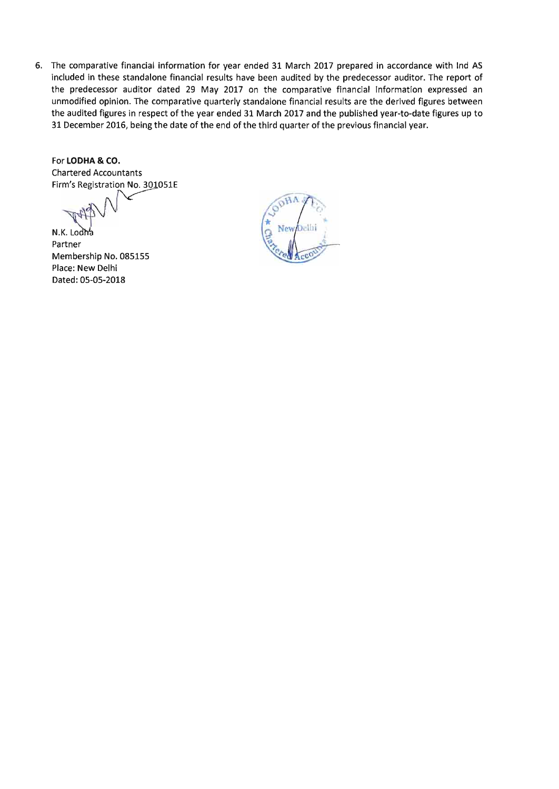6. The comparative financial information for year ended 31 March 2017 prepared in accordance with Ind AS included in these standalone financial results have been audited by the predecessor auditor. The report of the predecessor auditor dated 29 May 2017 on the comparative financial information expressed an unmodified opinion. The comparative quarterly standalone financial results are the derived figures between the audited figures in respect of the year ended 31 March 2017 and the published year-to-date figures up to 31 December 2016, being the date of the end of the third quarter of the previous financial year.

For **LODHA & CO.**  Chartered Accountants Firm's Registration No. 301051E

N.K. Lodna Partner Membership No. 085155 Place: New Delhi Dated: 05-05-2018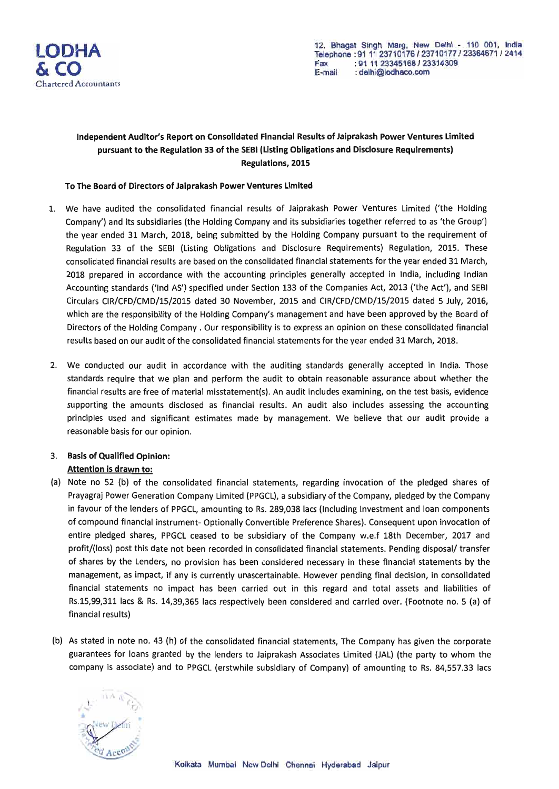

### Independent Auditor's Report on Consolidated Financial Results of Jaiprakash Power Ventures Limited pursuant to the Regulation 33 of the SEBI (Listing Obligations and Disclosure Requirements) Regulations, 2015

#### To The Board of Directors of Jaiprakash Power Ventures Limited

- 1. We have audited the consolidated financial results of Jaiprakash Power Ventures Limited ('the Holding Company') and its subsidiaries (the Holding Company and its subsidiaries together referred to as 'the Group') the year ended 31 March, 2018, being submitted by the Holding Company pursuant to the requirement of Regulation 33 of the SEBI (Listing Obligations and Disclosure Requirements) Regulation, 2015. These consolidated financial results are based on the consolidated financial statements for the year ended 31 March, 2018 prepared in accordance with the accounting principles generally accepted in India, including Indian Accounting standards ('Ind AS') specified under Section 133 of the Companies Act, 2013 ('the Act'), and SEBI Circulars CIR/CFD/CMD/15/2015 dated 30 November, 2015 and CIR/CFD/CMD/15/2015 dated 5 July, 2016, which are the responsibility of the Holding Company's management and have been approved by the Board of Directors of the Holding Company. Our responsibility is to express an opinion on these consolidated financial results based on our audit of the consolidated financial statements for the year ended 31 March, 2018.
- 2. We conducted our audit in accordance with the auditing standards generally accepted in India. Those standards require that we plan and perform the audit to obtain reasonable assurance about whether the financial results are free of material misstatement(s). An audit includes examining, on the test basis, evidence supporting the amounts disclosed as financial results. An audit also includes assessing the accounting principles used and significant estimates made by management. We believe that our audit provide a reasonable basis for our opinion.

### 3. Basis of Qualified Opinion: Attention is drawn to:

- (a) Note no 52 (b) of the consolidated financial statements, regarding invocation of the pledged shares of Prayagraj Power Generation Company Limited (PPGCL), a subsidiary of the Company, pledged by the Company in favour of the lenders of PPGCL, amounting to Rs. 289,038 lacs (Including Investment and loan components of compound financial instrument- Optionally Convertible Preference Shares). Consequent upon invocation of entire pledged shares, PPGCL ceased to be subsidiary of the Company w.e.f 18th December, 2017 and profit/(loss) post this date not been recorded in consolidated financial statements. Pending disposal/ transfer of shares by the Lenders, no provision has been considered necessary in these financial statements by the management, as impact, if any is currently unascertainable. However pending final decision, in consolidated financial statements no impact has been carried out in this regard and total assets and liabilities of Rs.15,99,311 lacs & Rs. 14,39,365 lacs respectively been considered and carried over. (Footnote no. 5 (a) of financial results)
- (b) As stated in note no. 43 (h) of the consolidated financial statements, The Company has given the corporate guarantees for loans granted by the lenders to Jaiprakash Associates Limited (JAL) (the party to whom the company is associate) and to PPGCL (erstwhile subsidiary of Company) of amounting to Rs. 84,557.33 lacs

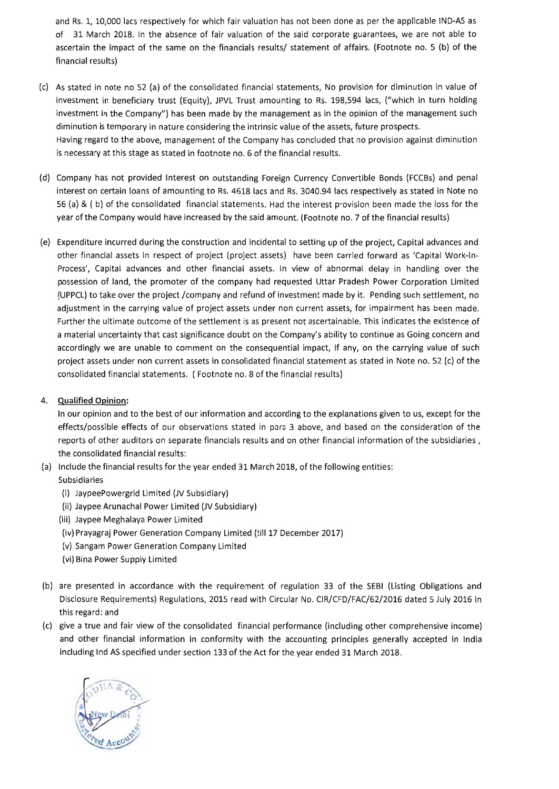and Rs. 1, 10,000 lacs respectively for which fair valuation has not been done as per the applicable IND-AS as of 31 March 2018. In the absence of fair valuation of the said corporate guarantees, we are not able to ascertain the impact of the same on the financials results/ statement of affairs. (Footnote no. 5 (b) of the financial results)

- (c) As stated in note no 52 (a) of the consolidated financial statements, No provision for diminution in value of investment in beneficiary trust (Equity), JPVL Trust amounting to Rs. 198,594 lacs, ("which in turn holding investment in the Company") has been made by the management as in the opinion of the management such diminution is temporary in nature considering the intrinsic value of the assets, future prospects. Having regard to the above, management of the Company has concluded that no provision against diminution is necessary at this stage as stated in footnote no. 6 of the financial results.
- (d) Company has not provided Interest on outstanding Foreign Currency Convertible Bonds (FCCBs) and penal interest on certain loans of amounting to Rs. 4618 lacs and Rs. 3040.94 lacs respectively as stated in Note no 56 (a) & ( b) of the consolidated financial statements. Had the interest provision been made the loss for the year of the Company would have increased by the said amount. (Footnote no. 7 of the financial results)
- (e) Expenditure incurred during the construction and incidental to setting up of the project, Capital advances and other financial assets in respect of project (project assets) have been carried forward as 'Capital Work-in-Process', Capital advances and other financial assets. In view of abnormal delay in handling over the possession of land, the promoter of the company had requested Uttar Pradesh Power Corporation Limited (UPPCL) to take over the project /company and refund of investment made by it. Pending such settlement, no adjustment in the carrying value of project assets under non current assets, for impairment has been made. Further the ultimate outcome of the settlement is as present not ascertainable. This indicates the existence of a material uncertainty that cast significance doubt on the Company's ability to continue as Going concern and accordingly we are unable to comment on the consequential impact, if any, on the carrying value of such project assets under non current assets in consolidated financial statement as stated in Note no. 52 (c) of the consolidated financial statements. (Footnote no. 8 of the financial results)

### 4. Qualified **Opinion:**

**In** our opinion and to the best of our information and according to the explanations given to us, except for the effects/possible effects of our observations stated in para 3 above, and based on the consideration of the reports of other auditors on separate financials results and on other financial information of the subsidiaries, the consolidated financial results:

- (a) Include the financial results for the year ended 31 March 2018, of the following entities: Subsidiaries
	- (i) JaypeePowergrid Limited (JV Subsidiary)
	- (ii) Jaypee Arunachal Power Limited (JV Subsidiary)
	- (iii) Jaypee Meghalaya Power Limited
	- (iv) Prayagraj Power Generation Company Limited (till 17 December 2017)
	- (v) Sangam Power Generation Company Limited
	- (vi) Bina Power Supply Limited
- (b) are presented in accordance with the requirement of regulation 33 of the SEBI (Listing Obligations and Disclosure Requirements) Regulations, 2015 read with Circular No. CIR/CFD/FAC/62/2016 dated 5 July 2016 in this regard: and
- (c) give a true and fair view of the consolidated financial performance (including other comprehensive income) and other financial information in conformity with the accounting principles generally accepted in India including Ind AS specified under section 133 of the Act for the year ended 31 March 2018.

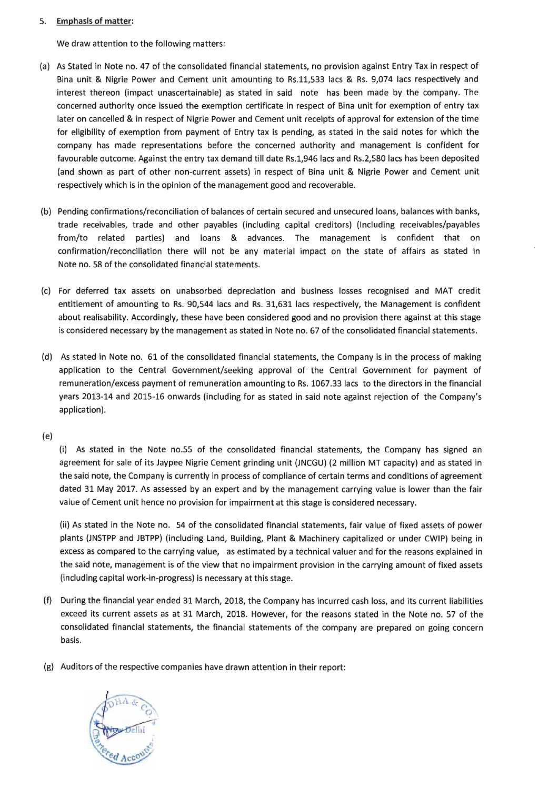#### 5. **Emphasis of matter:**

We draw attention to the following matters:

- (a) As Stated in Note no. 47 of the consolidated financial statements, no provision against Entry Tax in respect of Bina unit & Nigrie Power and Cement unit amounting to Rs.ll,533 lacs & Rs. 9,074 lacs respectively and interest thereon (impact unascertainable) as stated in said note has been made by the company. The concerned authority once issued the exemption certificate in respect of Bina unit for exemption of entry tax later on cancelled & in respect of Nigrie Power and Cement unit receipts of approval for extension of the time for eligibility of exemption from payment of Entry tax is pending, as stated in the said notes for which the company has made representations before the concerned authority and management is confident for favourable outcome. Against the entry tax demand till date RS.1,946 lacs and Rs.2,580 lacs has been deposited (and shown as part of other non-current assets) in respect of Bina unit & Nigrie Power and Cement unit respectively which is in the opinion of the management good and recoverable.
- (b) Pending confirmations/reconciliation of balances of certain secured and unsecured loans, balances with banks, trade receivables, trade and other payables (including capital creditors) (Including receivables/payables from/to related parties) and loans & advances. The management is confident that on confirmation/reconciliation there will not be any material impact on the state of affairs as stated in Note no. 58 of the consolidated financial statements.
- (c) For deferred tax assets on unabsorbed depreciation and business losses recognised and MAT credit entitlement of amounting to Rs. 90,544 lacs and Rs. 31,631 lacs respectively, the Management is confident about realisability. Accordingly, these have been considered good and no provision there against at this stage is considered necessary by the management as stated in Note no. 67 of the consolidated financial statements.
- (d) As stated in Note no. 61 of the consolidated financial statements, the Company is in the process of making application to the Central Government/seeking approval of the Central Government for payment of remuneration/excess payment of remuneration amounting to Rs. 1067.33 lacs to the directors in the financial years 2013-14 and 2015-16 onwards (including for as stated in said note against rejection of the Company's application).

(e)

(i) As stated in the Note no.55 of the consolidated financial statements, the Company has signed an agreement for sale of its Jaypee Nigrie Cement grinding unit (JNCGU) (2 million MT capacity) and as stated in the said note, the Company is currently in process of compliance of certain terms and conditions of agreement dated 31 May 2017. As assessed by an expert and by the management carrying value is lower than the fair value of Cement unit hence no provision for impairment at this stage is considered necessary.

(ii) As stated in the Note no. 54 of the consolidated financial statements, fair value of fixed assets of power plants (JNSTPP and JBTPP) (including Land, Building, Plant & Machinery capitalized or under CWIP) being in excess as compared to the carrying value, as estimated by a technical valuer and for the reasons explained in the said note, management is of the view that no impairment provision in the carrying amount of fixed assets (including capital work-in-progress) is necessary at this stage.

- (f) During the financial year ended 31 March, 2018, the Company has incurred cash loss, and its current liabilities exceed its current assets as at 31 March, 2018. However, for the reasons stated in the Note no. 57 of the consolidated financial statements, the financial statements of the company are prepared on going concern basis.
- (g) Auditors of the respective companies have drawn attention in their report:

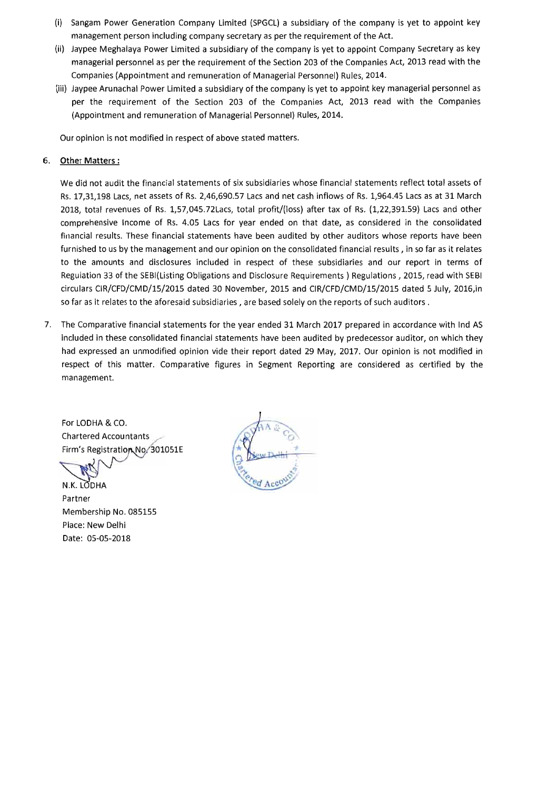- (i) Sangam Power Generation Company limited (SPGCL) a subsidiary of the company is yet to appoint key management person including company secretary as per the requirement of the Act.
- (ii) Jaypee Meghalaya Power limited a subsidiary of the company is yet to appoint Company Secretary as key managerial personnel as per the requirement of the Section 203 of the Companies Act, 2013 read with the Companies (Appointment and remuneration of Managerial Personnel) Rules, 2014.
- (iii) Jaypee Arunachal Power limited a subsidiary of the company is yet to appoint key managerial personnel as per the requirement of the Section 203 of the Companies Act, 2013 read with the Companies (Appointment and remuneration of Managerial Personnel) Rules, 2014.

Our opinion is not modified in respect of above stated matters.

#### 6. **Other Matters:**

We did not audit the financial statements of six subsidiaries whose financial statements reflect total assets of Rs. 17,31,198 Lacs, net assets of Rs. 2,46,690.57 Lacs and net cash inflows of Rs. 1,964.45 Lacs as at 31 March 2018, total revenues of Rs. l,57,045.72Lacs, total profit/(loss) after tax of Rs. (1,22,391.59) Lacs and other comprehensive Income of Rs. 4.05 Lacs for year ended on that date, as considered in the consolidated financial results. These financial statements have been audited by other auditors whose reports have been furnished to us by the management and our opinion on the consolidated financial results, in so far as it relates to the amounts and disclosures included in respect of these subsidiaries and our report in terms of Regulation 33 of the SEBI(listing Obligations and Disclosure Requirements) Regulations, 2015, read with SEBI circulars CIR/CFD/CMD/15/2015 dated 30 November, 2015 and CIR/CFD/CMD/15/2015 dated 5 July, 2016,in so far as it relates to the aforesaid subsidiaries, are based solely on the reports of such auditors.

7. The Comparative financial statements for the year ended 31 March 2017 prepared in accordance with Ind AS included in these consolidated financial statements have been audited by predecessor auditor, on which they had expressed an unmodified opinion vide their report dated 29 May, 2017. Our opinion is not modified in respect of this matter. Comparative figures in Segment Reporting are considered as certified by the management.

For LODHA & CO. Chartered Accountants Firm's Registration No. 301051E

N.K. LODHA Partner Membership No. 085155 Place: New Delhi Date: 05-05-2018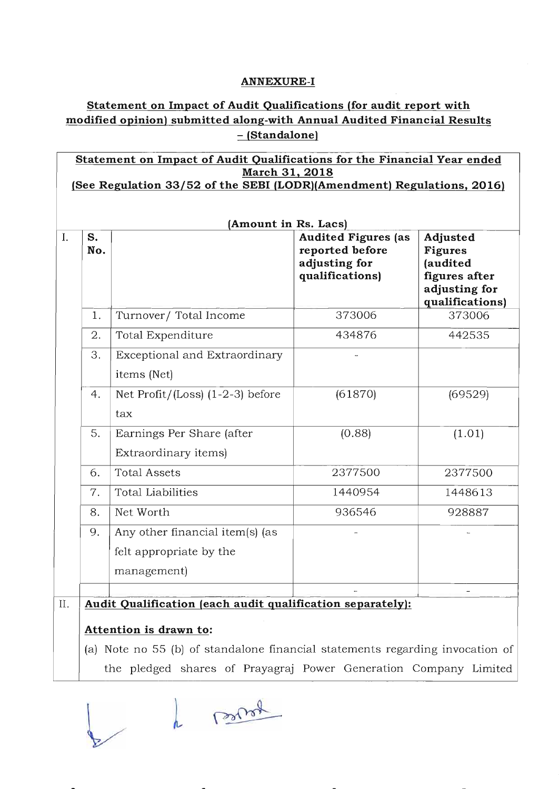### **ANNEXURE-I**

## **Statement on Impact of Audit Qualifications (for audit report with modified opinion) submitted along-with Annual Audited Financial Results**  - **(Standalone)**

|     | Statement on Impact of Audit Qualifications for the Financial Year ended<br>March 31, 2018 |                                                                                      |                                                                                   |                                                                                             |  |  |  |  |  |  |
|-----|--------------------------------------------------------------------------------------------|--------------------------------------------------------------------------------------|-----------------------------------------------------------------------------------|---------------------------------------------------------------------------------------------|--|--|--|--|--|--|
|     |                                                                                            | (See Regulation 33/52 of the SEBI (LODR)(Amendment) Regulations, 2016)               |                                                                                   |                                                                                             |  |  |  |  |  |  |
|     |                                                                                            |                                                                                      |                                                                                   |                                                                                             |  |  |  |  |  |  |
|     | (Amount in Rs. Lacs)                                                                       |                                                                                      |                                                                                   |                                                                                             |  |  |  |  |  |  |
| I.  | S.<br>No.                                                                                  |                                                                                      | <b>Audited Figures (as</b><br>reported before<br>adjusting for<br>qualifications) | Adjusted<br><b>Figures</b><br>(audited<br>figures after<br>adjusting for<br>qualifications) |  |  |  |  |  |  |
|     | 1.                                                                                         | Turnover/Total Income                                                                | 373006                                                                            | 373006                                                                                      |  |  |  |  |  |  |
|     | 2.                                                                                         | Total Expenditure                                                                    | 434876                                                                            | 442535                                                                                      |  |  |  |  |  |  |
|     | 3.                                                                                         | Exceptional and Extraordinary<br>items (Net)                                         |                                                                                   |                                                                                             |  |  |  |  |  |  |
|     | 4.                                                                                         | Net $Profit / (Loss)$ $(1-2-3)$ before<br>tax                                        | (61870)                                                                           | (69529)                                                                                     |  |  |  |  |  |  |
|     | 5.                                                                                         | Earnings Per Share (after<br>Extraordinary items)                                    | (0.88)                                                                            | (1.01)                                                                                      |  |  |  |  |  |  |
|     | 6.                                                                                         | <b>Total Assets</b>                                                                  | 2377500                                                                           | 2377500                                                                                     |  |  |  |  |  |  |
|     | 7.                                                                                         | <b>Total Liabilities</b>                                                             | 1440954                                                                           | 1448613                                                                                     |  |  |  |  |  |  |
|     | 8.                                                                                         | Net Worth                                                                            | 936546                                                                            | 928887                                                                                      |  |  |  |  |  |  |
|     | 9.                                                                                         | Any other financial item(s) (as                                                      |                                                                                   |                                                                                             |  |  |  |  |  |  |
|     |                                                                                            | felt appropriate by the                                                              |                                                                                   |                                                                                             |  |  |  |  |  |  |
|     |                                                                                            | management)                                                                          |                                                                                   |                                                                                             |  |  |  |  |  |  |
|     |                                                                                            |                                                                                      |                                                                                   |                                                                                             |  |  |  |  |  |  |
| II. |                                                                                            | Audit Qualification (each audit qualification separately):<br>Attention is drawn to: |                                                                                   |                                                                                             |  |  |  |  |  |  |

(a) Note no 55 (b) of standalone financial statements regarding invocation of the pledged shares of Prayagraj Power Generation Company Limited

to more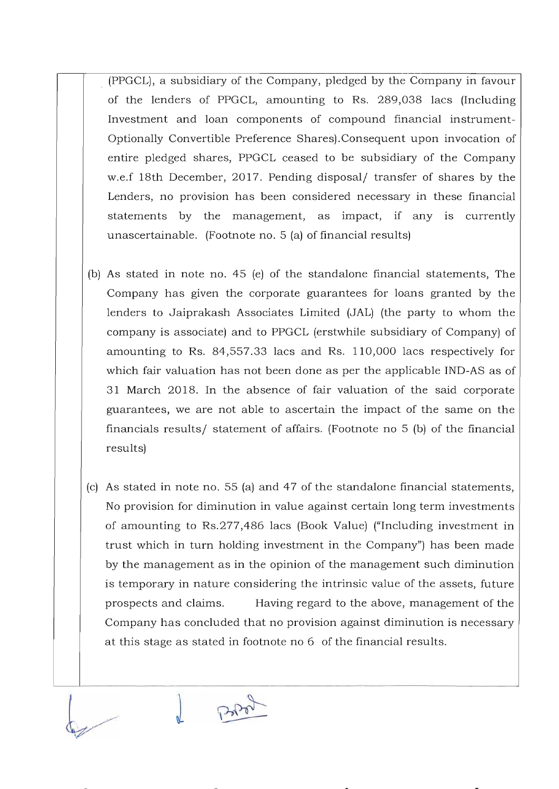- (PPGCL), a subsidiary of the Company, pledged by the Company in favour of the lenders of PPGCL, amounting to Rs. 289,038 lacs (Including Investment and loan components of compound financial instrument-Optionally Convertible Preference Shares).Consequent upon invocation of entire pledged shares, PPGCL ceased to be subsidiary of the Company w.e.f 18th December, 2017. Pending disposal/ transfer of shares by the Lenders, no provision has been considered necessary in these financial statements by the management, as impact, if any is currently unascertainable. (Footnote no. 5 (a) of financial results)
- (b) As stated in note no. 45 (e) of the standalone financial statements, The Company has given the corporate guarantees for loans granted by the lenders to Jaiprakash Associates Limited (JAL) (the party to whom the company is associate) and to PPGCL (erstwhile subsidiary of Company) of amounting to Rs. 84,557.33 lacs and Rs. 110,000 lacs respectively for which fair valuation has not been done as per the applicable IND-AS as of 31 March 2018. In the absence of fair valuation of the said corporate guarantees, we are not able to ascertain the impact of the same on the financials results/ statement of affairs. (Footnote no 5 (b) of the financial results)
- (c) As stated in note no. 55 (a) and 47 of the standalone financial statements, No provision for diminution in value against certain long term investments of amounting to Rs.277,486 lacs (Book Value) ("Including investment in trust which in turn holding investment in the Company") has been made by the management as in the opinion of the management such diminution is temporary in nature considering the intrinsic value of the assets, future prospects and claims. Having regard to the above, management of the Company has concluded that no provision against diminution is necessary at this stage as stated in footnote no 6 of the financial results.

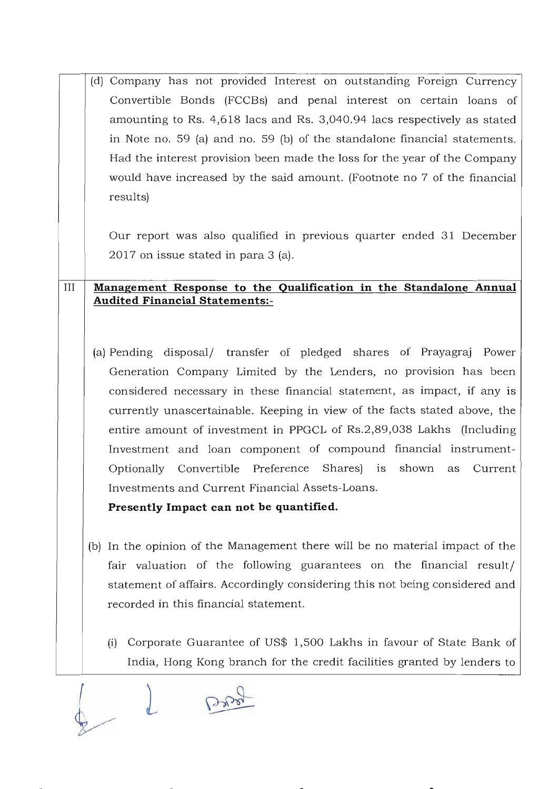(d) Company has not provided Interest on outstanding Foreign Currency Convertible Bonds (FCCBs) and penal interest on certain loans of amounting to Rs. 4,618 lacs and Rs. 3,040.94 lacs respectively as stated in Note no. 59 (a) and no. 59 (b) of the standalone financial statements. Had the interest provision been made the loss for the year of the Company would have increased by the said amount. (Footnote no 7 of the financial results)

Our report was also qualified in previous quarter ended 31 December 2017 on issue stated in para 3 (a).

## **III Management Response to the Qualification in the Standalone Annual Audited Financial Statements:-**

(a) Pending disposal/ transfer of pledged shares of Prayagraj Power Generation Company Limited by the Lenders, no provision has been considered necessary in these financial statement, as impact, if any is currently unascertainable. Keeping in view of the facts stated above, the entire amount of investment in PPGCL of Rs.2,89,038 Lakhs (Including Investment and loan component of compound financial instrument-Optionally Convertible Preference Shares) IS shown as Current Investments and Current Financial Assets-Loans.

**Presently Impact can not be quantified.** 

- (b) **In** the opinion of the Management there will be no material impact of the fair valuation of the following guarantees on the financial result/ statement of affairs. Accordingly considering this not being considered and recorded in this financial statement.
	- (i) Corporate Guarantee of US\$ 1,500 Lakhs in favour of State Bank of India, Hong Kong branch for the credit facilities granted by lenders to

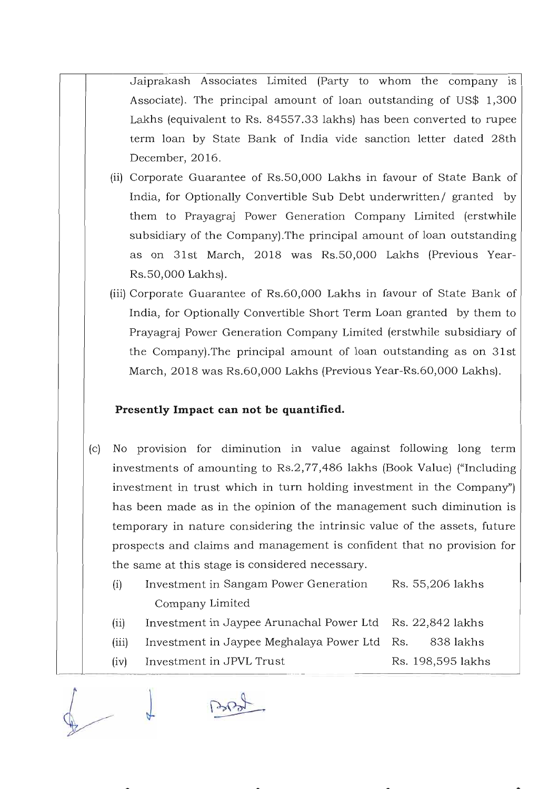Jaiprakash Associates Limited (Party to whom the company is Associate). The principal amount of loan outstanding of US\$ 1,300 Lakhs (equivalent to Rs. 84557.33 lakhs) has been converted to rupee term loan by State Bank of India vide sanction letter dated 28th December, 2016.

- (ii) Corporate Guarantee of Rs.50,000 Lakhs in favour of State Bank of India, for Optionally Convertible Sub Debt underwritten/ granted by them to Prayagraj Power Generation Company Limited (erstwhile subsidiary of the Company).The principal amount of loan outstanding as on 31st March, 2018 was Rs.50,000 Lakhs (Previous Year-Rs.50,000 Lakhs).
- (iii) Corporate Guarantee of Rs.60,000 Lakhs in favour of State Bank of India, for Optionally Convertible Short Term Loan granted by them to Prayagraj Power Generation Company Limited (erstwhile subsidiary of the Company).The principal amount of loan outstanding as on 31st March, 2018 was Rs.60,000 Lakhs (Previous Year-Rs.60,000 Lakhs).

### **Presently Impact can not be quantified.**

- (c) No provision for diminution in value against following long term investments of amounting to Rs.2,77,486 lakhs (Book Value) ("Including investment in trust which in turn holding investment in the Company") has been made as in the opinion of the management such diminution is temporary in nature considering the intrinsic value of the assets, future prospects and claims and management is confident that no provision for the same at this stage is considered necessary.
	- (i) Investment in Sangam Power Generation Rs. 55,206 lakhs Company Limited
	- (ii) Investment in Jaypee Arunachal Power Ltd Rs. 22,842 lakhs
	- (iii) Investment in Jaypee Meghalaya Power Ltd Rs. 838 lakhs
	- (iv) Investment in JPVL Trust  $\qquad \qquad$  Rs. 198,595 lakhs

*1*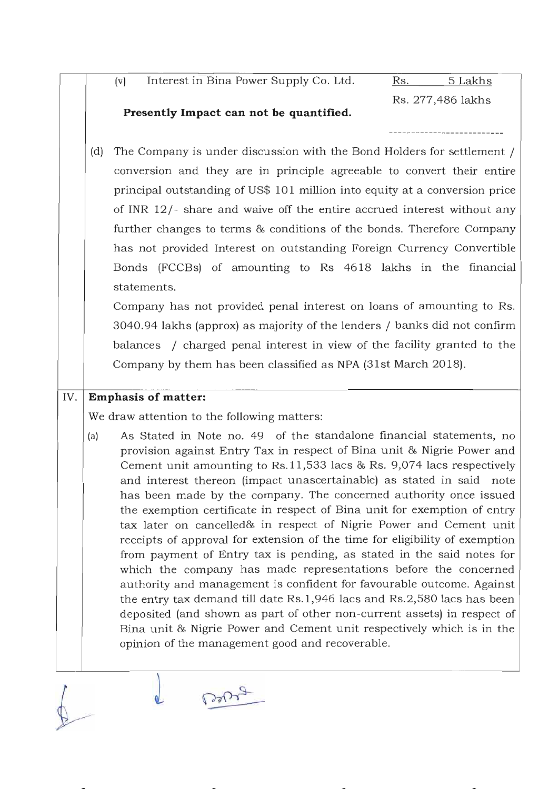(v) Interest in Bina Power Supply Co. Ltd. Rs. 5 Lakhs

Rs. 277,486 lakhs

### **Presently Impact can not be quantified.**

(d) The Company is under discussion with the Bond Holders for settlement / conversion and they are in principle agreeable to convert their entire principal outstanding of US\$ 101 million into equity at a conversion price of INR 12/- share and waive off the entire accrued interest without any further changes to terms & conditions of the bonds. Therefore Company has not provided Interest on outstanding Foreign Currency Convertible Bonds (FCCBs) of amounting to Rs 4618 lakhs in the financial statements.

Company has not provided penal interest on loans of amounting to Rs. 3040.94 lakhs (approx) as majority of the lenders / banks did not confirm balances / charged penal interest in view of the facility granted to the Company by them has been classified as NPA (31st March 2018).

### IV. **Emphasis of matter:**

We draw attention to the following matters:

**PrOF** 

(a) As Stated in Note no. 49 of the standalone financial statements, no provision against Entry Tax in respect of Bina unit & Nigrie Power and Cement unit amounting to Rs.11,533 lacs & Rs. 9,074 lacs respectively and interest thereon (impact unascertainable) as stated in said note has been made by the company. The concerned authority once issued the exemption certificate in respect of Bina unit for exemption of entry tax later on cancelled& in respect of Nigrie Power and Cement unit receipts of approval for extension of the time for eligibility of exemption from payment of Entry tax is pending, as stated in the said notes for which the company has made representations before the concerned authority and management is confident for favourable outcome. Against the entry tax demand till date Rs.1, 946 lacs and Rs. 2,580 lacs has been deposited (and shown as part of other non-current assets) in respect of Bina unit & Nigrie Power and Cement unit respectively which is in the opinion of the management good and recoverable.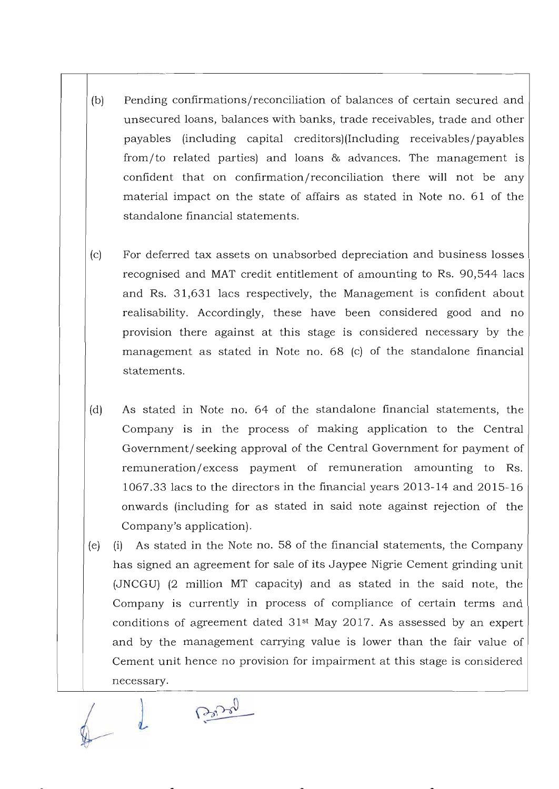- (b) Pending confirmations/reconciliation of balances of certain secured and unsecured loans, balances with banks, trade receivables, trade and other payables (including capital creditors)(Including receivables/payables from/to related parties) and loans & advances. The management is confident that on confirmation/reconciliation there will not be any material impact on the state of affairs as stated in Note no. 61 of the standalone financial statements.
- (c) For deferred tax assets on unabsorbed depreciation and business losses recognised and MAT credit entitlement of amounting to Rs. 90,544 lacs and Rs. 31,631 lacs respectively, the Management is confident about realisability. Accordingly, these have been considered good and no provision there against at this stage is considered necessary by the management as stated in Note no. 68 (c) of the standalone financial statements.
- (d) As stated in Note no. 64 of the standalone financial statements, the Company is in the process of making application to the Central Government/seeking approval of the Central Government for payment of remuneration/excess payment of remuneration amounting to Rs. 1067.33 lacs to the directors in the financial years 2013-14 and 2015- 16 onwards (including for as stated in said note against rejection of the Company's application).
- (e) (i) As stated in the Note no. 58 of the financial statements, the Company has signed an agreement for sale of its Jaypee Nigrie Cement grinding unit (JNCGU) (2 million MT capacity) and as stated in the said note, the Company is currently in process of compliance of certain terms and conditions of agreement dated  $31<sup>st</sup>$  May 2017. As assessed by an expert and by the management carrying value is lower than the fair value of Cement unit hence no provision for impairment at this stage is considered necessary.

Branch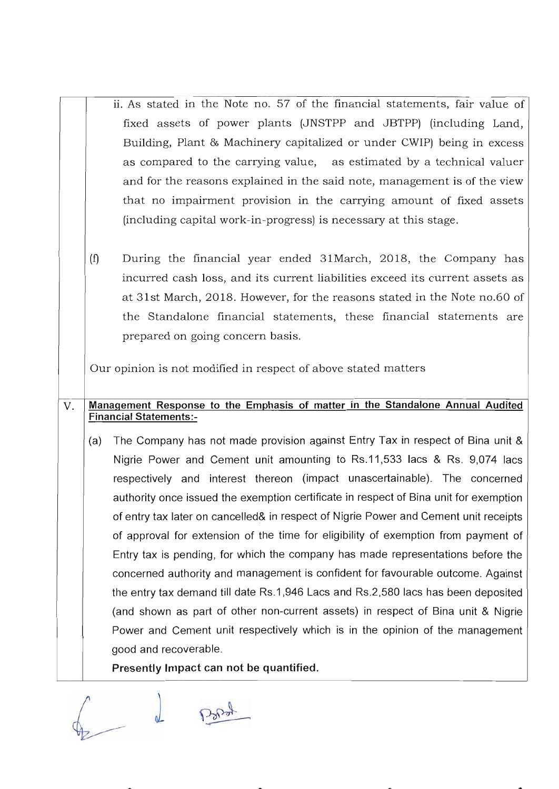- ii. As stated in the Note no. 57 of the financial statements, fair value of fixed assets of power plants (JNSTPP and JBTPP) (including Land, Building, Plant & Machinery capitalized or under CWIP) being in excess as compared to the carrying value, as estimated by a technical valuer and for the reasons explained in the said note, management is of the view that no impairment provision in the carrying amount of fixed assets (including capital work-in-progress) is necessary at this stage.
- (f) During the financial year ended 31March, 2018, the Company has incurred cash loss, and its current liabilities exceed its current assets as at 31st March, 2018. However, for the reasons stated in the Note no.60 of the Standalone financial statements, these financial statements are prepared on going concern basis.

Our opinion is not modified in respect of above stated matters

### V. Management Response to the Emphasis of matter in the Standalone Annual Audited Financial Statements:-

(a) The Company has not made provision against Entry Tax in respect of Bina unit & Nigrie Power and Cement unit amounting to Rs.11,533 lacs & Rs. 9,074 lacs respectively and interest thereon (impact unascertainable). The concerned authority once issued the exemption certificate in respect of Bina unit for exemption of entry tax later on cancelled& in respect of Nigrie Power and Cement unit receipts of approval for extension of the time for eligibility of exemption from payment of Entry tax is pending, for which the company has made representations before the concerned authority and management is confident for favourable outcome. Against the entry tax demand till date Rs.1 ,946 Lacs and Rs.2,580 lacs has been deposited (and shown as part of other non-current assets) in respect of Bina unit & Nigrie Power and Cement unit respectively which is in the opinion of the management good and recoverable.

Presently Impact can not be quantified.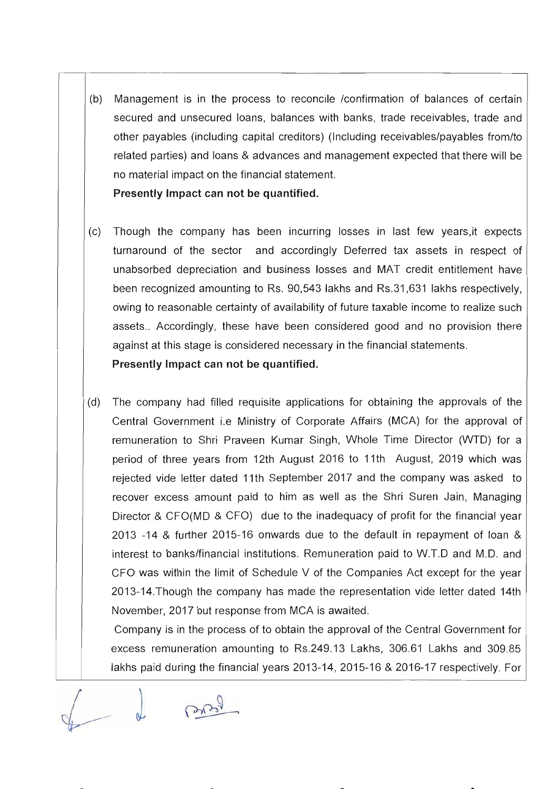(b) Management is in the process to reconcile /confirmation of balances of certain secured and unsecured loans, balances with banks, trade receivables, trade and other payables (including capital creditors) (Including receivables/payables from/to related parties) and loans & advances and management expected that there will be no material impact on the financial statement. **Presently Impact can not be quantified.** 

assets.. Accordingly, these have been considered good and no provision there

(c) Though the company has been incurring losses in last few years,it expects turnaround of the sector and accordingly Deferred tax assets in respect of unabsorbed depreciation and business losses and MAT credit entitlement have been recognized amounting to Rs. 90,543 lakhs and Rs.31,631 lakhs respectively, owing to reasonable certainty of availability of future taxable income to realize such

against at this stage is considered necessary in the financial statements.

**Presently Impact can not be quantified.** 

(d) The company had filled requisite applications for obtaining the approvals of the Central Government i.e Ministry of Corporate Affairs (MCA) for the approval of remuneration to Shri Praveen Kumar Singh, Whole Time Director (WTD) for a period of three years from 12th August 2016 to 11th August, 2019 which was rejected vide letter dated 11th September 2017 and the company was asked to recover excess amount paid to him as well as the Shri Suren Jain, Managing Director & CFO(MD & CFO) due to the inadequacy of profit for the financial year 2013 -14 & further 2015-16 onwards due to the default in repayment of loan & interest to banks/financial institutions. Remuneration paid to W.T.D and M.D. and CFO was within the limit of Schedule V of the Companies Act except for the year 2013-14.Though the company has made the representation vide letter dated 14th November, 2017 but response from MCA is awaited.

Company is in the process of to obtain the approval of the Central Government for excess remuneration amounting to Rs.249.13 Lakhs, 306.61 Lakhs and 309.85 lakhs paid during the financial years 2013-14, 2015-16 & 2016-17 respectively. For

Brie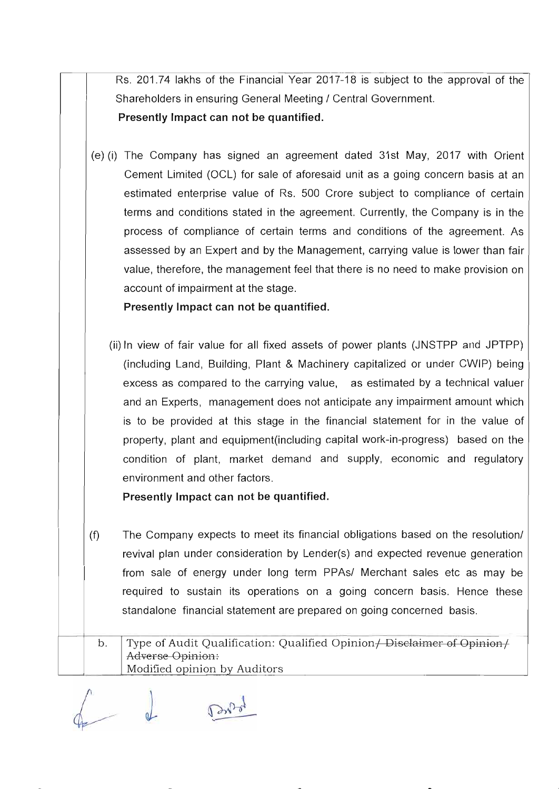Rs. 201.74 lakhs of the Financial Year 2017-18 is subject to the approval of the Shareholders in ensuring General Meeting / Central Government.

**Presently Impact can not be quantified.** 

(e) (i) The Company has signed an agreement dated 31st May, 2017 with Orient Cement Limited (OCl) for sale of aforesaid unit as a going concern basis at an estimated enterprise value of Rs. 500 Crore subject to compliance of certain terms and conditions stated in the agreement. Currently, the Company is in the process of compliance of certain terms and conditions of the agreement. As assessed by an Expert and by the Management, carrying value is lower than fair value, therefore, the management feel that there is no need to make provision on account of impairment at the stage.

**Presently Impact can not be quantified.** 

(ii) In view of fair value for all fixed assets of power plants (JNSTPP and JPTPP) (including land, Building, Plant & Machinery capitalized or under CWIP) being excess as compared to the carrying value, as estimated by a technical valuer and an Experts, management does not anticipate any impairment amount which is to be provided at this stage in the financial statement for in the value of property, plant and equipment(including capital work-in-progress) based on the condition of plant, market demand and supply, economic and regulatory environment and other factors.

**Presently Impact can not be quantified.** 

(f) The Company expects to meet its financial obligations based on the resolution/ revival plan under consideration by lender(s) and expected revenue generation from sale of energy under long term PPAs/ Merchant sales etc as may be required to sustain its operations on a going concern basis. Hence these standalone financial statement are prepared on going concerned basis.

b. Type of Audit Qualification: Qualified Opinion  $\mu$  Disclaimer of Opinion  $\mu$ Adverse Opinion: Modified opinion by Auditors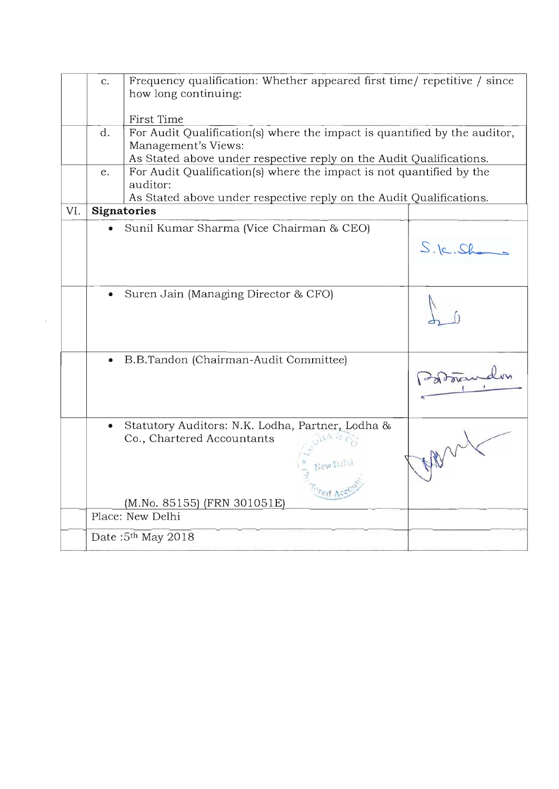|     | $C_{\star}$ | Frequency qualification: Whether appeared first time/ repetitive / since<br>how long continuing:                                                                        |               |
|-----|-------------|-------------------------------------------------------------------------------------------------------------------------------------------------------------------------|---------------|
|     |             | First Time                                                                                                                                                              |               |
|     | d.          | For Audit Qualification(s) where the impact is quantified by the auditor,<br>Management's Views:<br>As Stated above under respective reply on the Audit Qualifications. |               |
|     | e.          | For Audit Qualification(s) where the impact is not quantified by the<br>auditor:<br>As Stated above under respective reply on the Audit Qualifications.                 |               |
| VI. |             | <b>Signatories</b>                                                                                                                                                      |               |
|     |             | Sunil Kumar Sharma (Vice Chairman & CEO)                                                                                                                                |               |
|     |             |                                                                                                                                                                         | $S.$ le. $S6$ |
|     |             | Suren Jain (Managing Director & CFO)                                                                                                                                    |               |
|     |             | B.B.Tandon (Chairman-Audit Committee)                                                                                                                                   | dorand        |
|     |             | Statutory Auditors: N.K. Lodha, Partner, Lodha &<br>Co., Chartered Accountants                                                                                          |               |
|     |             | (M.No. 85155) (FRN 301051E)                                                                                                                                             |               |
|     |             | Place: New Delhi                                                                                                                                                        |               |
|     |             | Date: 5 <sup>th</sup> May 2018                                                                                                                                          |               |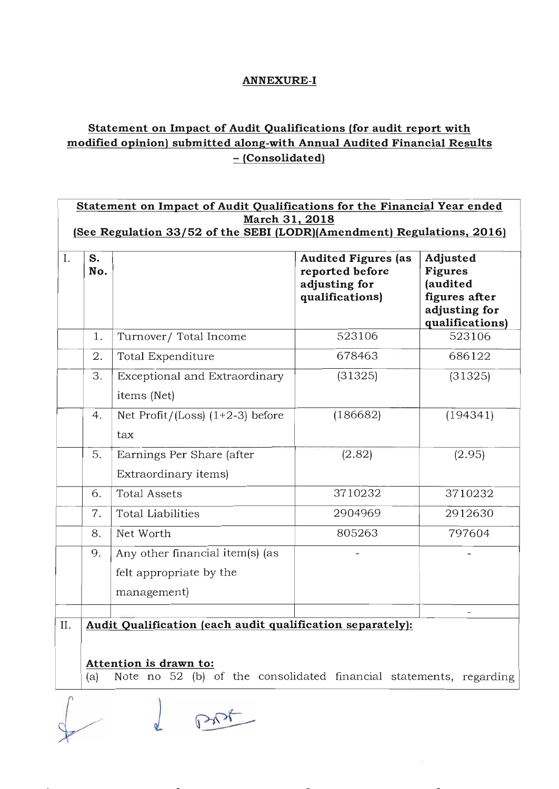### **ANNEXURE-I**

## **Statement on Impact of Audit Qualifications (for audit report with modified opinion) submitted along-with Annual Audited Financial Results - (Consolidated)**

| March 31, 2018<br>(See Regulation 33/52 of the SEBI (LODR)(Amendment) Regulations, 2016) |           |                                                                           |                                                                                   |                                                                                             |  |  |  |
|------------------------------------------------------------------------------------------|-----------|---------------------------------------------------------------------------|-----------------------------------------------------------------------------------|---------------------------------------------------------------------------------------------|--|--|--|
| I.                                                                                       | S.<br>No. |                                                                           | <b>Audited Figures (as</b><br>reported before<br>adjusting for<br>qualifications) | Adjusted<br><b>Figures</b><br>(audited<br>figures after<br>adjusting for<br>qualifications) |  |  |  |
|                                                                                          | 1.        | Turnover/Total Income                                                     | 523106                                                                            | 523106                                                                                      |  |  |  |
|                                                                                          | 2.        | Total Expenditure                                                         | 678463                                                                            | 686122                                                                                      |  |  |  |
|                                                                                          | 3.        | Exceptional and Extraordinary<br>items (Net)                              | (31325)                                                                           | (31325)                                                                                     |  |  |  |
|                                                                                          | 4.        | Net Profit/(Loss) $(1+2-3)$ before<br>tax                                 | (186682)                                                                          | (194341)                                                                                    |  |  |  |
|                                                                                          | 5.        | Earnings Per Share (after<br>Extraordinary items)                         | (2.82)                                                                            | (2.95)                                                                                      |  |  |  |
|                                                                                          | 6.        | <b>Total Assets</b>                                                       | 3710232                                                                           | 3710232                                                                                     |  |  |  |
|                                                                                          | 7.        | <b>Total Liabilities</b>                                                  | 2904969                                                                           | 2912630                                                                                     |  |  |  |
|                                                                                          | 8.        | Net Worth                                                                 | 805263                                                                            | 797604                                                                                      |  |  |  |
|                                                                                          | 9.        | Any other financial item(s) (as<br>felt appropriate by the<br>management) |                                                                                   |                                                                                             |  |  |  |

**Attention is drawn to:** 

(a) Note no 52 (b) of the consolidated financial statements, regarding

d prot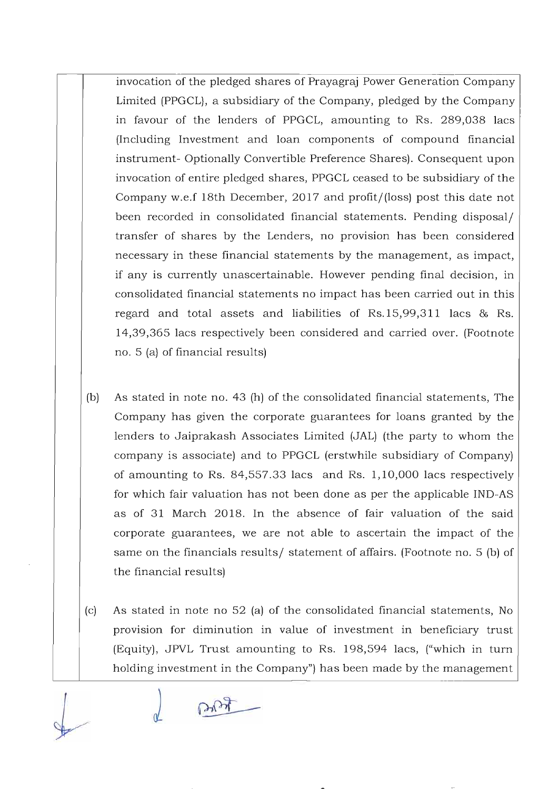invocation of the pledged shares of Prayagraj Power Generation Company Limited (PPGCL), a subsidiary of the Company, pledged by the Company in favour of the lenders of PPGCL, amounting to Rs. 289,038 lacs (Including Investment and loan components of compound financial instrument- Optionally Convertible Preference Shares). Consequent upon invocation of entire pledged shares, PPGCL ceased to be subsidiary of the Company w.e.f 18th December, 2017 and profit/(loss) post this date not been recorded in consolidated financial statements. Pending disposal/ transfer of shares by the Lenders, no provision has been considered necessary in these financial statements by the management, as impact, if any is currently unascertainable. However pending final decision, in consolidated financial statements no impact has been carried out in this regard and total assets and liabilities of Rs.15,99,311 lacs & Rs. 14,39,365 lacs respectively been considered and carried over. (Footnote no. 5 (a) of financial results)

- (b) As stated in note no. 43 (h) of the consolidated financial statements, The Company has given the corporate guarantees for loans granted by the lenders to Jaiprakash Associates Limited (JAL) (the party to whom the company is associate) and to PPGCL (erstwhile subsidiary of Company) of amounting to Rs. 84,557.33 lacs and Rs. 1,10,000 lacs respectively for which fair valuation has not been done as per the applicable IND-AS as of 31 March 2018. In the absence of fair valuation of the said corporate guarantees, we are not able to ascertain the impact of the same on the financials results/ statement of affairs. (Footnote no. 5 (b) of the financial results)
- (c) As stated in note no 52 (a) of the consolidated financial statements, No provision for diminution in value of investment in beneficiary trust (Equity), JPVL Trust amounting to Rs. 198,594 lacs, ("which in turn holding investment in the Company") has been made by the management

Ach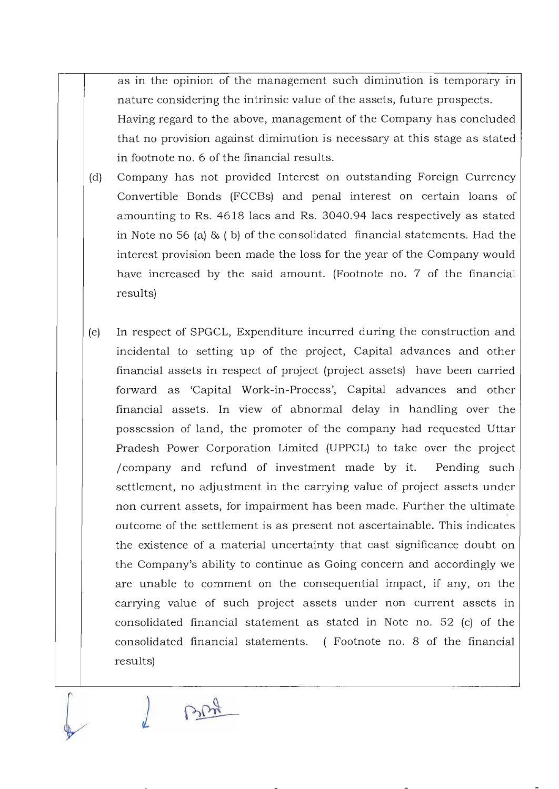as in the opinion of the management such diminution is temporary in nature considering the intrinsic value of the assets, future prospects. Having regard to the above, management of the Company has concluded that no provision against diminution is necessary at this stage as stated in footnote no. 6 of the financial results.

- (d) Company has not provided Interest on outstanding Foreign Currency Convertible Bonds (FCCBs) and penal interest on certain loans of amounting to Rs. 4618 lacs and Rs. 3040.94 lacs respectively as stated in Note no 56 (a) & ( b) of the consolidated financial statements. Had the interest provision been made the loss for the year of the Company would have increased by the said amount. (Footnote no. 7 of the financial results)
- (e) In respect of SPGCL, Expenditure incurred during the construction and incidental to setting up of the project, Capital advances and other financial assets in respect of project (project assets) have been carried forward as 'Capital Work-in-Process', Capital advances and other financial assets. In view of abnormal delay in handling over the possession of land, the promoter of the company had requested Uttar Pradesh Power Corporation Limited (UPPCL) to take over the project / company and refund of investment made by it. Pending such settlement, no adjustment in the carrying value of project assets under non current assets, for impairment has been made. Further the ultimate. outcome of the settlement is as present not ascertainable. This indicates the existence of a material uncertainty that cast significance doubt on the Company's ability to continue as Going concern and accordingly we are unable to comment on the consequential impact, if any, on the carrying value of such project assets under non current assets in consolidated financial statement as stated in Note no. 52 (c) of the consolidated financial statements. (Footnote no. 8 of the financial results)

BRA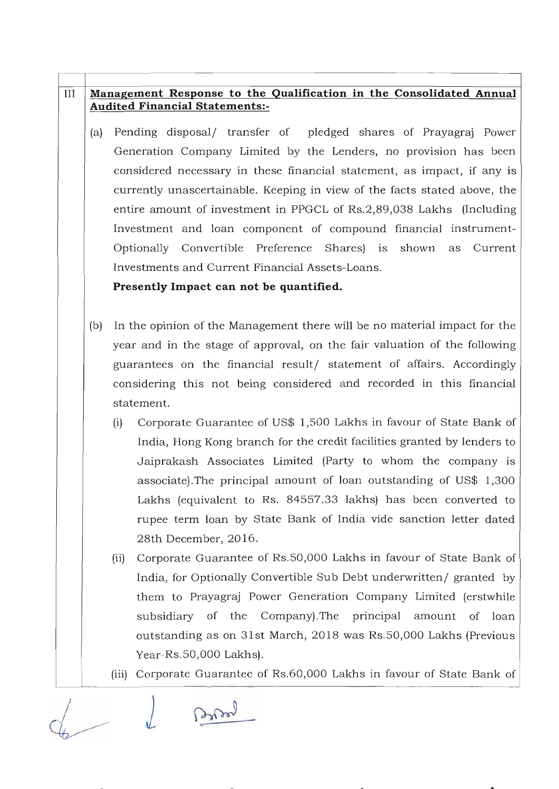### **III Management Response to the Qualification in the Consolidated Annual Audited Financial Statements:-**

(a) Pending disposal/ transfer of pledged shares of Prayagraj Power Generation Company Limited by the Lenders, no provision has been considered necessary in these financial statement, as impact, if any is currently unascertainable. Keeping in view of the facts stated above, the entire amount of investment in PPGCL of Rs.2,89,038 Lakhs (Including Investment and loan component of compound financial instrument-Optionally Convertible Preference Shares) is shown as Current Investments and Current Financial Assets-Loans.

### **Presently Impact can not be quantified.**

- (b) In the opinion of the Management there will be no material impact for the year and in the stage of approval, on the fair valuation of the following guarantees on the financial result/ statement of affairs. Accordingly considering this not being considered and recorded in this financial statement.
	- (i) Corporate Guarantee of US\$ 1,500 Lakhs in favour of State Bank of India, Hong Kong branch for the credit facilities granted by lenders to Jaiprakash Associates Limited (Party to whom the company is associate).The principal amount of loan outstanding of US\$ 1,300 Lakhs (equivalent to Rs. 84557.33 lakhs) has been converted to rupee term loan by State Bank of India vide sanction letter dated 28th December, 2016.
	- (ii) Corporate Guarantee of Rs.50,000 Lakhs in favour of State Bank of India, for Optionally Convertible Sub Debt underwritten/ granted by them to Prayagraj Power Generation Company Limited (erstwhile subsidiary of the Company).The principal amount of loan outstanding as on 31st March, 2018 was Rs.50,000 Lakhs (Previous Year-Rs.50,000 Lakhs).
	- (iii) Corporate Guarantee of Rs.60,000 Lakhs in favour of State Bank of

 $\iota$ John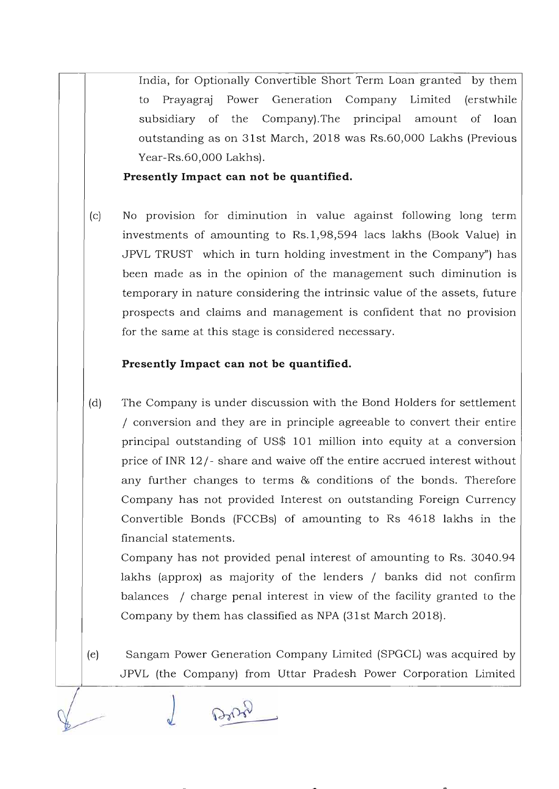India, for Optionally Convertible Short Term Loan granted by them to Prayagraj Power Generation Company Limited (erstwhile subsidiary of the Company).The principal amount of loan outstanding as on 31st March, 2018 was Rs.60,000 Lakhs (Previous Year-Rs.60,000 Lakhs).

**Presently Impact can not be quantified.** 

(c) No provision for diminution in value against following long term investments of amounting to Rs.1,98,594 lacs lakhs (Book Value) in JPVL TRUST which in turn holding investment in the Company") has been made as in the opinion of the management such diminution is temporary in nature considering the intrinsic value of the assets, future prospects and claims and management is confident that no provision for the same at this stage is considered necessary.

### **Presently Impact can not be quantified.**

(d) The Company is under discussion with the Bond Holders for settlement / conversion and they are in principle agreeable to convert their entire principal outstanding of US\$ 101 million into equity at a conversion price of INR 12/ - share and waive off the entire accrued interest without any further changes to terms & conditions of the bonds. Therefore Company has not provided Interest on outstanding Foreign Currency Convertible Bonds (FCCBs) of amounting to Rs 4618 lakhs in the financial statements.

Company has not provided penal interest of amounting to Rs. 3040.94 lakhs (approx) as majority of the lenders / banks did not confirm balances / charge penal interest in view of the facility granted to the Company by them has classified as NPA (31st March 2018).

(e) Sangam Power Generation Company Limited (SPGCL) was acquired by JPVL (the Company) from Uttar Pradesh Power Corporation Limited

 $20 - 6$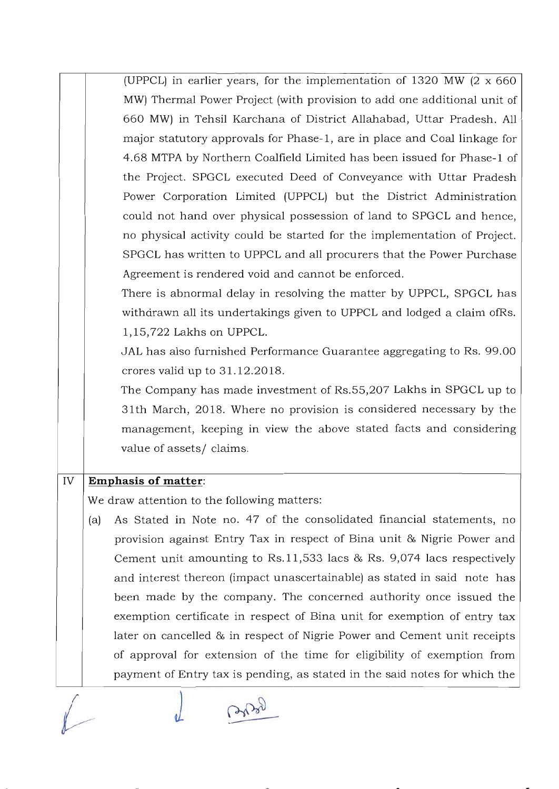(UPPCL) in earlier years, for the implementation of 1320 MW (2 x 660 MW) Thermal Power Project (with provision to add one additional unit of 660 MW) in Tehsil Karchana of District Allahabad, Uttar Pradesh. All major statutory approvals for Phase- I, are in place and Coal linkage for 4.68 MTPA by Northern Coalfield Limited has been issued for Phase- l of the Project. SPGCL executed Deed of Conveyance with Uttar Pradesh Power Corporation Limited (UPPCL) but the District Administration could not hand over physical possession of land to SPGCL and hence, no physical activity could be started for the implementation of Project. SPGCL has written to UPPCL and all procurers that the Power Purchase Agreement is rendered void and cannot be enforced.

There is abnormal delay in resolving the matter by UPPCL, SPGCL has withdrawn all its undertakings given to UPPCL and lodged a claim ofRs. 1,15,722 Lakhs on UPPCL.

JAL has also furnished Performance Guarantee aggregating to Rs. 99.00 crores valid up to 31.12.2018.

The Company has made investment of Rs.55,207 Lakhs in SPGCL up to 31th March, 2018. Where no provision is considered necessary by the management, keeping in view the above stated facts and considering value of assets/ claims.

### IV **Emphasis of matter:**

We draw attention to the following matters:

(a) As Stated in Note no. 47 of the consolidated financial statements, no provision against Entry Tax in respect of Bina unit & Nigrie Power and Cement unit amounting to Rs.ll,533 lacs & Rs. 9,074 lacs respectively and interest thereon (impact unascertainable) as stated in said note has been made by the company. The concerned authority once issued the exemption certificate in respect of Bina unit for exemption of entry tax later on cancelled & in respect of Nigrie Power and Cement unit receipts of approval for extension of the time for eligibility of exemption from payment of Entry tax is pending, as stated in the said notes for which the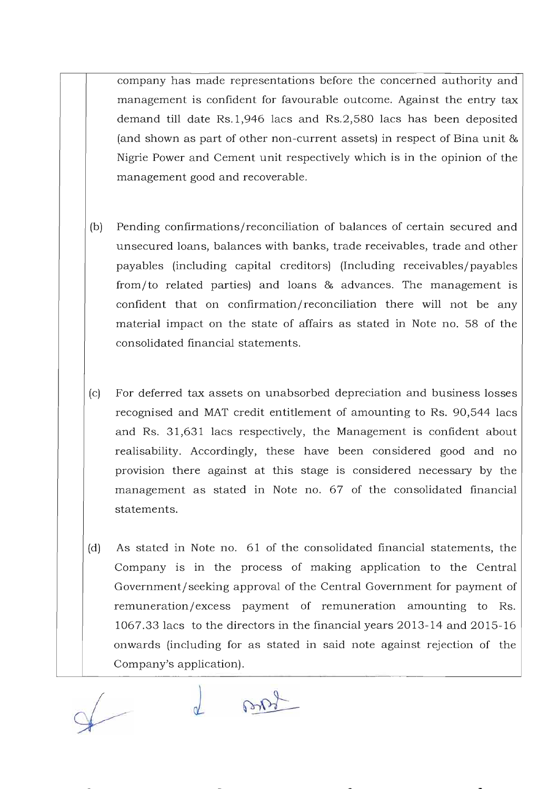company has made representations before the concerned authority and management is confident for favourable outcome. Against the entry tax demand till date Rs.1,946 lacs and Rs.2,580 lacs has been deposited (and shown as part of other non-current assets) in respect of Bina unit & Nigrie Power and Cement unit respectively which is in the opinion of the management good and recoverable.

- (b) Pending confirmations/reconciliation of balances of certain secured and unsecured loans, balances with banks, trade receivables, trade and other payables (including capital creditors) (Including receivables/payables from/to related parties) and loans & advances. The management is confident that on confirmation/reconciliation there will not be any material impact on the state of affairs as stated in Note no. 58 of the consolidated financial statements.
- (c) For deferred tax assets on unabsorbed depreciation and business losses recognised and MAT credit entitlement of amounting to Rs. 90,544 lacs and Rs. 31,631 lacs respectively, the Management is confident about realisability. Accordingly, these have been considered good and no provision there against at this stage is considered necessary by the management as stated in Note no. 67 of the consolidated financial statements.
- (d) As stated in Note no. 61 of the consolidated financial statements, the Company is in the process of making application to the Central Government/ seeking approval of the Central Government for payment of remuneration/excess payment of remuneration amounting to Rs. 1067.33 lacs to the directors in the financial years 2013-14 and 2015-16 onwards (including for as stated in said note against rejection of the Company's application).

popol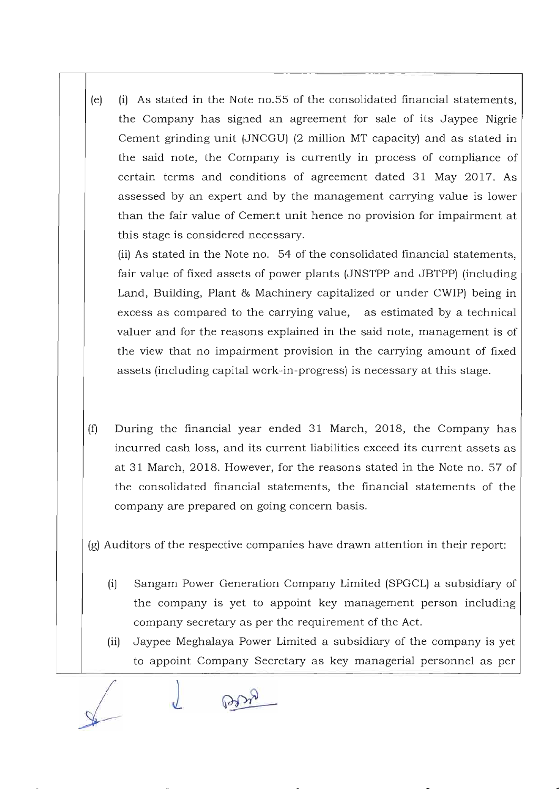(e) (i) As stated in the Note no. 55 of the consolidated financial statements, the Company has signed an agreement for sale of its Jaypee Nigrie Cement grinding unit (JNCGU) (2 million MT capacity) and as stated in the said note, the Company is currently in process of compliance of certain terms and conditions of agreement dated 31 May 2017. As assessed by an expert and by the management carrying value is lower than the fair value of Cement unit hence no provision for impairment at this stage is considered necessary.

(ii) As stated in the Note no. 54 of the consolidated financial statements, fair value of fixed assets of power plants (JNSTPP and JBTPP) (including Land, Building, Plant & Machinery capitalized or under CWIP) being in excess as compared to the carrying value, as estimated by a technical valuer and for the reasons explained in the said note, management is of the view that no impairment provision in the carrying amount of fixed assets (including capital work-in-progress) is necessary at this stage.

(f) During the financial year ended 31 March, 2018, the Company has incurred cash loss, and its current liabilities exceed its current assets as at 31 March, 2018. However, for the reasons stated in the Note no. 57 of the consolidated financial statements, the financial statements of the company are prepared on going concern basis.

(g) Auditors of the respective companies have drawn attention in their report:

- (i) Sangam Power Generation Company Limited (SPGCL) a subsidiary of the company is yet to appoint key management person including company secretary as per the requirement of the Act.
- (ii) Jaypee Meghalaya Power Limited a subsidiary of the company is yet to appoint Company Secretary as key managerial personnel as per

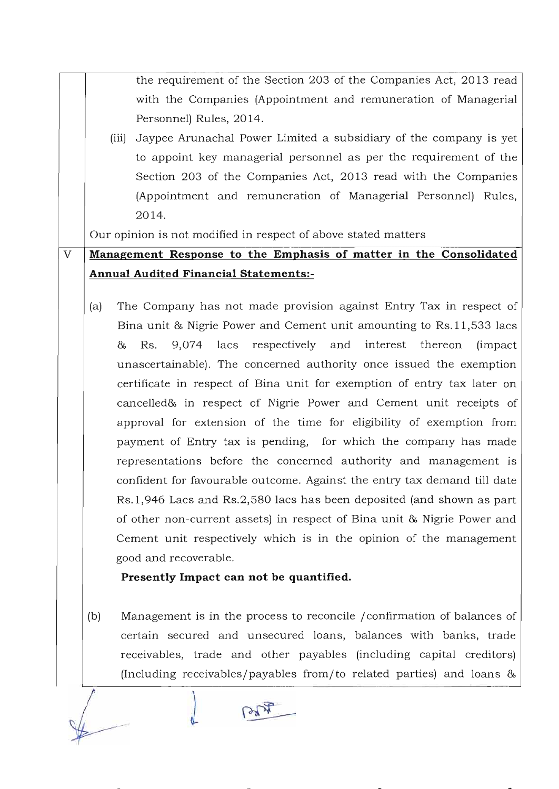the requirement of the Section 203 of the Companies Act, 2013 read with the Companies (Appointment and remuneration of Managerial Personnel) Rules, 2014.

(iii) Jaypee Arunachal Power Limited a subsidiary of the company is yet to appoint key managerial personnel as per the requirement of the Section 203 of the Companies Act, 2013 read with the Companies (Appointment and remuneration of Managerial Personnel) Rules, 2014.

Our opinion is not modified in respect of above stated matters

# V **Management Response to the Emphasis of matter in the Consolidated Annual Audited Financial Statements:-**

(a) The Company has not made provision against Entry Tax in respect of Bina unit & Nigrie Power and Cement unit amounting to Rs.11,533 lacs & Rs. 9,074 lacs respectively and interest thereon (impact unascertainable). The concerned authority once issued the exemption certificate in respect of Bina unit for exemption of entry tax later on cancelled& in respect of Nigrie Power and Cement unit receipts of approval for extension of the time for eligibility of exemption from payment of Entry tax is pending, for which the company has made representations before the concerned authority and management is confident for favourable outcome. Against the entry tax demand till date Rs.1,946 Lacs and Rs.2,580 lacs has been deposited (and shown as part of other non-current assets) in respect of Bina unit & Nigrie Power and Cement unit respectively which is in the opinion of the management good and recoverable.

### **Presently Impact can not be quantified.**

(b) Management is in the process to reconcile / confirmation of balances of certain secured and unsecured loans, balances with banks, trade receivables, trade and other payables (including capital creditors) (Including receivables/payables from/to related parties) and loans &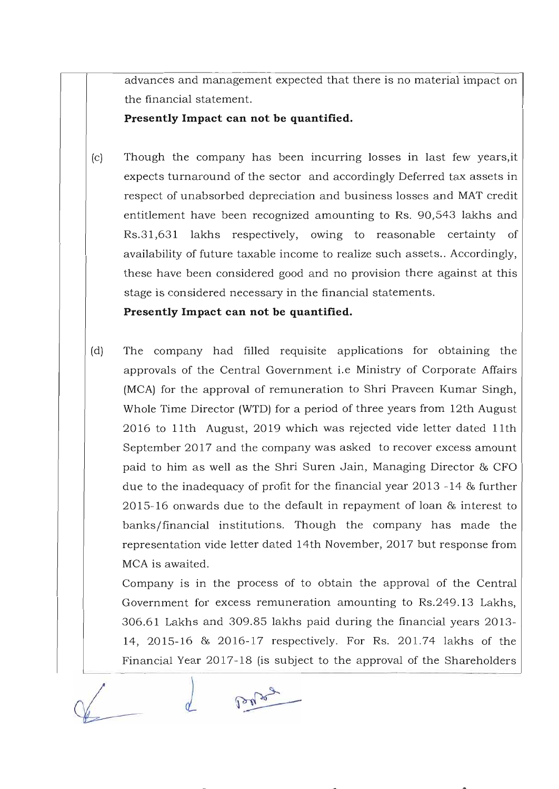advances and management expected that there is no material impact on the financial statement.

**Presently Impact can not be quantified.** 

(c) Though the company has been incurring losses in last few years,it expects turnaround of the sector and accordingly Deferred tax assets in respect of unabsorbed depreciation and business losses and MAT credit entitlement have been recognized amounting to Rs. 90,543 lakhs and Rs.31,631 lakhs respectively, owing to reasonable certainty of availability of future taxable income to realize such assets.. Accordingly, these have been considered good and no provision there against at this stage is considered necessary in the financial statements.

**Presently Impact can not be quantified.** 

(d) The company had filled requisite applications for obtaining the approvals of the Central Government i.e Ministry of Corporate Affairs (MCA) for the approval of remuneration to Shri Praveen Kumar Singh, Whole Time Director (WTD) for a period of three years from 12th August 2016 to 11th August, 2019 which was rejected vide letter dated 11th September 2017 and the company was asked to recover excess amount paid to him as well as the Shri Suren Jain, Managing Director & CFO due to the inadequacy of profit for the financial year 2013 -14 & further 2015- 16 onwards due to the default in repayment of loan & interest to banks/financial institutions. Though the company has made the representation vide letter dated 14th November, 2017 but response from MCA is awaited.

Company is in the process of to obtain the approval of the Central Government for excess remuneration amounting to Rs.249.13 Lakhs, 306.61 Lakhs and 309.85 lakhs paid during the financial years 2013- 14, 2015- 16 & 2016- 17 respectively. For Rs. 201.74 lakhs of the Financial Year 2017-18 (is subject to the approval of the Shareholders

belog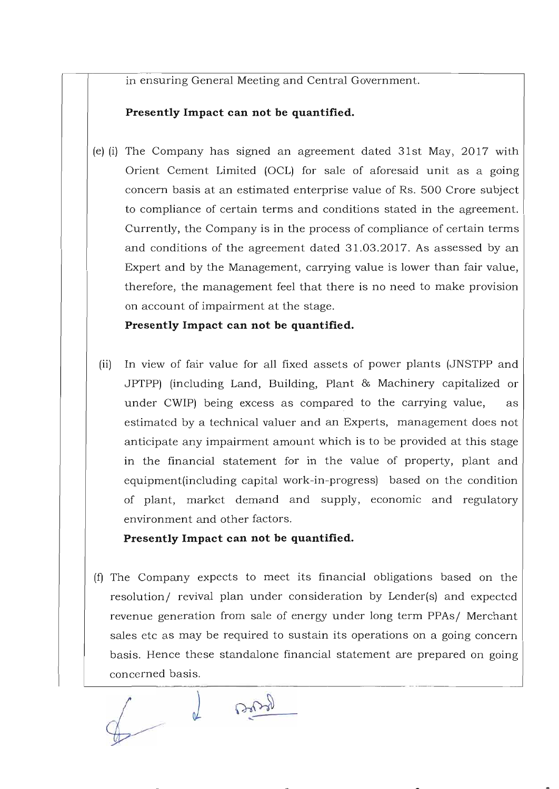in ensuring General Meeting and Central Government.

### **Presently Impact can not be quantified.**

(e) (i) The Company has signed an agreement dated 31st May, 2017 with Orient Cement. Limited (OCL) for sale of aforesaid unit as a going concern basis at an estimated enterprise value of Rs. 500 Crore subject to compliance of certain terms and conditions stated in the agreement. Currently, the Company is in the process of compliance of certain terms and conditions of the agreement dated 31.03.2017. As assessed by an Expert and by the Management, carrying value is lower than fair value, therefore, the management feel that there is no need to make provision on account of impairment at the stage.

**Presently Impact can not be quantified.** 

(ii) In view of fair value for all fixed assets of power plants (JNSTPP and JPTPP) (including Land, Building, Plant & Machinery capitalized or under CWIP) being excess as compared to the carrying value, as estimated by a technical valuer and an Experts, management does not anticipate any impairment amount which is to be provided at this stage in the financial statement for in the value of property, plant and equipment(including capital work-in-progress) based on the condition of plant, market demand and supply, economic and regulatory environment and other factors.

### **Presently Impact can not be quantified.**

(fJ The Company expects to meet its financial obligations based on the resolution/ revival plan under consideration by Lender(s) and expected revenue generation from sale of energy under long term PPAs/ Merchant sales etc as may be required to sustain its operations on a going concern basis. Hence these standalone financial statement are prepared on going concerned basis.

Barry